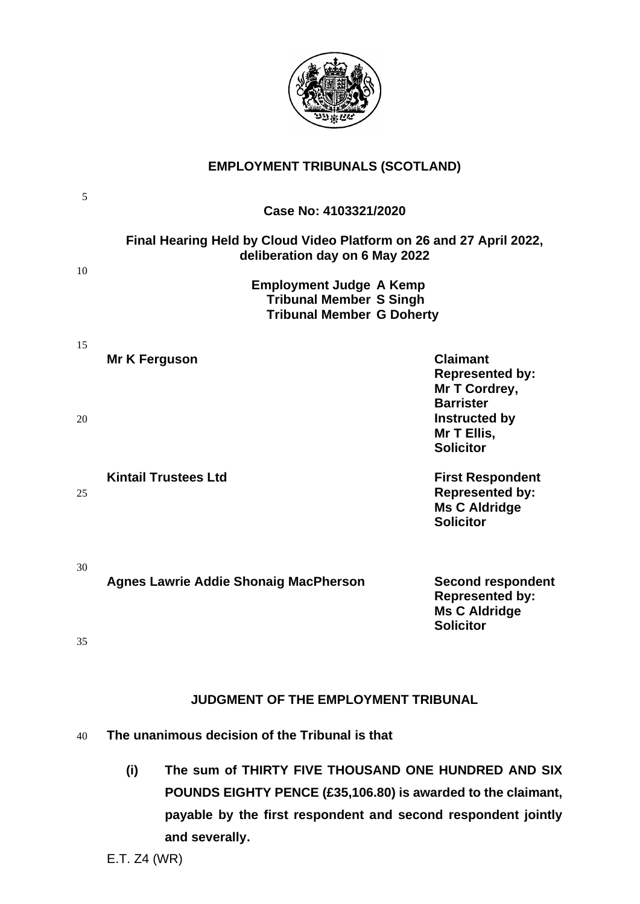

# **EMPLOYMENT TRIBUNALS (SCOTLAND)**

| 5        |                                                                                                                                                                                                               |                                                                                                |  |
|----------|---------------------------------------------------------------------------------------------------------------------------------------------------------------------------------------------------------------|------------------------------------------------------------------------------------------------|--|
|          | Case No: 4103321/2020                                                                                                                                                                                         |                                                                                                |  |
| 10       | Final Hearing Held by Cloud Video Platform on 26 and 27 April 2022,<br>deliberation day on 6 May 2022<br><b>Employment Judge A Kemp</b><br><b>Tribunal Member S Singh</b><br><b>Tribunal Member G Doherty</b> |                                                                                                |  |
|          |                                                                                                                                                                                                               |                                                                                                |  |
| 15       | Mr K Ferguson                                                                                                                                                                                                 | <b>Claimant</b><br><b>Represented by:</b><br>Mr T Cordrey,<br><b>Barrister</b>                 |  |
| 20       |                                                                                                                                                                                                               | Instructed by<br>Mr T Ellis,<br><b>Solicitor</b>                                               |  |
| 25       | <b>Kintail Trustees Ltd</b>                                                                                                                                                                                   | <b>First Respondent</b><br><b>Represented by:</b><br><b>Ms C Aldridge</b><br><b>Solicitor</b>  |  |
| 30<br>35 | <b>Agnes Lawrie Addie Shonaig MacPherson</b>                                                                                                                                                                  | <b>Second respondent</b><br><b>Represented by:</b><br><b>Ms C Aldridge</b><br><b>Solicitor</b> |  |
|          | <b>JUDGMENT OF THE EMPLOYMENT TRIBUNAL</b>                                                                                                                                                                    |                                                                                                |  |
| 40       | The unanimous decision of the Tribunal is that                                                                                                                                                                |                                                                                                |  |
|          | The sum of THIRTY FIVE THOUSAND ONE HUNDRED AND SIX<br>(i)<br>POUNDS EIGHTY PENCE (£35,106.80) is awarded to the claimant,<br>payable by the first respondent and second respondent jointly<br>and severally. |                                                                                                |  |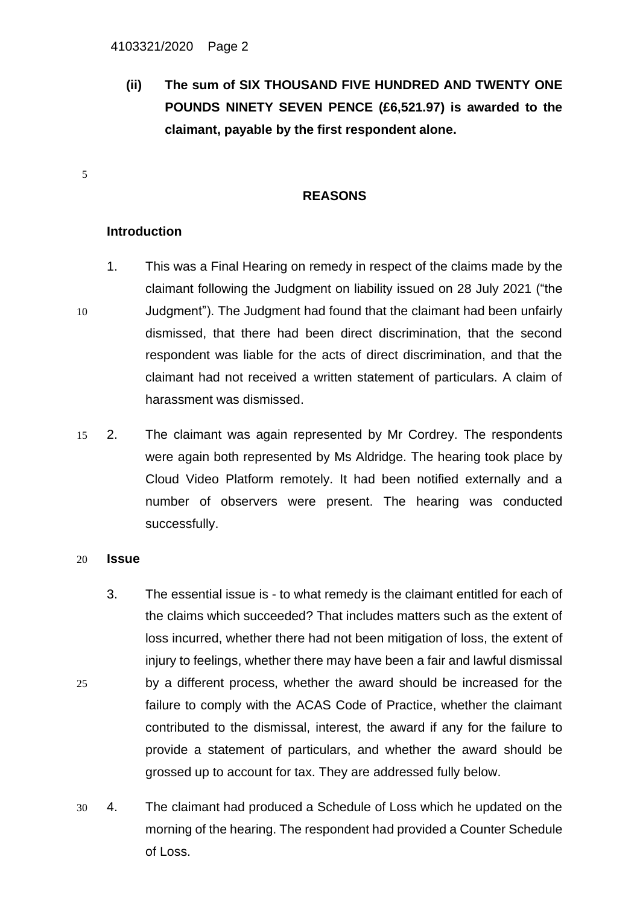**(ii) The sum of SIX THOUSAND FIVE HUNDRED AND TWENTY ONE POUNDS NINETY SEVEN PENCE (£6,521.97) is awarded to the claimant, payable by the first respondent alone.**

### **REASONS**

## **Introduction**

5

- 1. This was a Final Hearing on remedy in respect of the claims made by the claimant following the Judgment on liability issued on 28 July 2021 ("the 10 Judgment"). The Judgment had found that the claimant had been unfairly dismissed, that there had been direct discrimination, that the second respondent was liable for the acts of direct discrimination, and that the claimant had not received a written statement of particulars. A claim of harassment was dismissed.
- 15 2. The claimant was again represented by Mr Cordrey. The respondents were again both represented by Ms Aldridge. The hearing took place by Cloud Video Platform remotely. It had been notified externally and a number of observers were present. The hearing was conducted successfully.

#### 20 **Issue**

- 3. The essential issue is to what remedy is the claimant entitled for each of the claims which succeeded? That includes matters such as the extent of loss incurred, whether there had not been mitigation of loss, the extent of injury to feelings, whether there may have been a fair and lawful dismissal 25 by a different process, whether the award should be increased for the failure to comply with the ACAS Code of Practice, whether the claimant contributed to the dismissal, interest, the award if any for the failure to provide a statement of particulars, and whether the award should be grossed up to account for tax. They are addressed fully below.
- 30 4. The claimant had produced a Schedule of Loss which he updated on the morning of the hearing. The respondent had provided a Counter Schedule of Loss.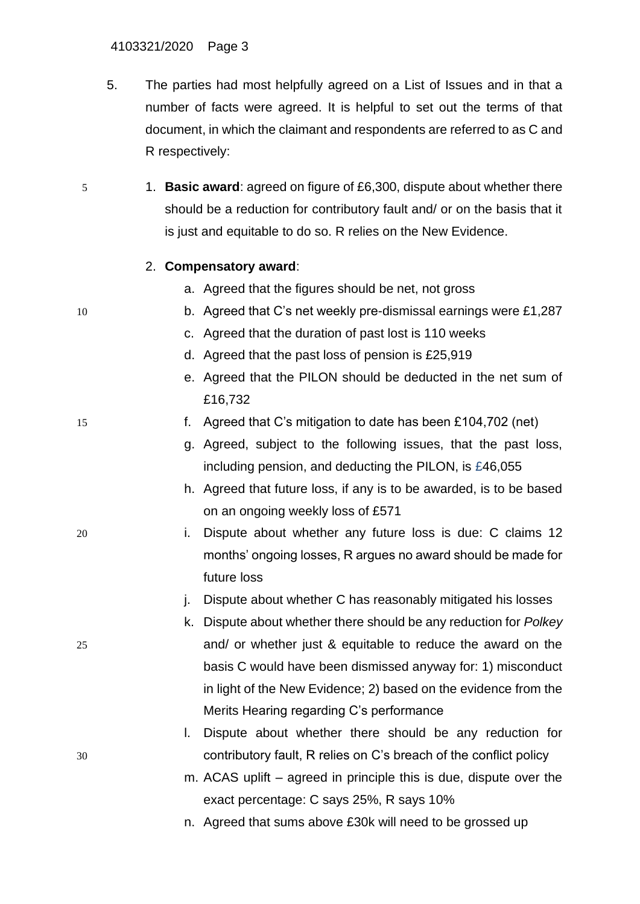- 5. The parties had most helpfully agreed on a List of Issues and in that a number of facts were agreed. It is helpful to set out the terms of that document, in which the claimant and respondents are referred to as C and R respectively:
- 5 1. **Basic award**: agreed on figure of £6,300, dispute about whether there should be a reduction for contributory fault and/ or on the basis that it is just and equitable to do so. R relies on the New Evidence.

## 2. **Compensatory award**:

- a. Agreed that the figures should be net, not gross
- 10 b. Agreed that C's net weekly pre-dismissal earnings were £1,287
	- c. Agreed that the duration of past lost is 110 weeks
	- d. Agreed that the past loss of pension is £25,919
	- e. Agreed that the PILON should be deducted in the net sum of £16,732

# 15 f. Agreed that C's mitigation to date has been £104,702 (net)

- g. Agreed, subject to the following issues, that the past loss, including pension, and deducting the PILON, is £46,055
- h. Agreed that future loss, if any is to be awarded, is to be based on an ongoing weekly loss of £571
- 20 i. Dispute about whether any future loss is due: C claims 12 months' ongoing losses, R argues no award should be made for future loss
	- j. Dispute about whether C has reasonably mitigated his losses
- k. Dispute about whether there should be any reduction for *Polkey* 25 and/ or whether just & equitable to reduce the award on the basis C would have been dismissed anyway for: 1) misconduct in light of the New Evidence; 2) based on the evidence from the Merits Hearing regarding C's performance

# l. Dispute about whether there should be any reduction for 30 contributory fault, R relies on C's breach of the conflict policy

- m. ACAS uplift agreed in principle this is due, dispute over the exact percentage: C says 25%, R says 10%
- n. Agreed that sums above £30k will need to be grossed up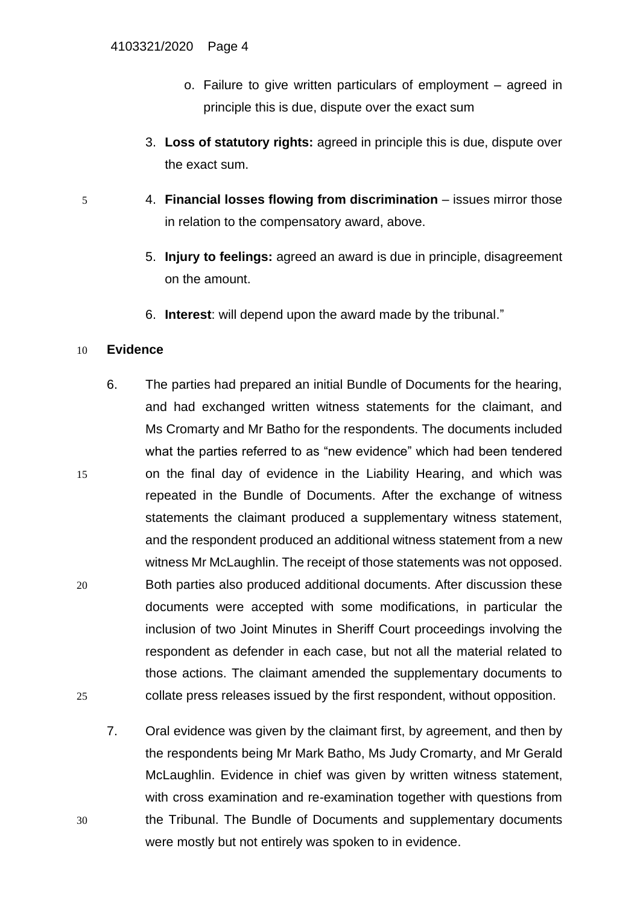- o. Failure to give written particulars of employment agreed in principle this is due, dispute over the exact sum
- 3. **Loss of statutory rights:** agreed in principle this is due, dispute over the exact sum.
- 5 4. **Financial losses flowing from discrimination**  issues mirror those in relation to the compensatory award, above.
	- 5. **Injury to feelings:** agreed an award is due in principle, disagreement on the amount.
	- 6. **Interest**: will depend upon the award made by the tribunal."

# 10 **Evidence**

- 6. The parties had prepared an initial Bundle of Documents for the hearing, and had exchanged written witness statements for the claimant, and Ms Cromarty and Mr Batho for the respondents. The documents included what the parties referred to as "new evidence" which had been tendered 15 on the final day of evidence in the Liability Hearing, and which was repeated in the Bundle of Documents. After the exchange of witness statements the claimant produced a supplementary witness statement, and the respondent produced an additional witness statement from a new witness Mr McLaughlin. The receipt of those statements was not opposed. 20 Both parties also produced additional documents. After discussion these documents were accepted with some modifications, in particular the inclusion of two Joint Minutes in Sheriff Court proceedings involving the respondent as defender in each case, but not all the material related to those actions. The claimant amended the supplementary documents to 25 collate press releases issued by the first respondent, without opposition.
- 7. Oral evidence was given by the claimant first, by agreement, and then by the respondents being Mr Mark Batho, Ms Judy Cromarty, and Mr Gerald McLaughlin. Evidence in chief was given by written witness statement, with cross examination and re-examination together with questions from 30 the Tribunal. The Bundle of Documents and supplementary documents were mostly but not entirely was spoken to in evidence.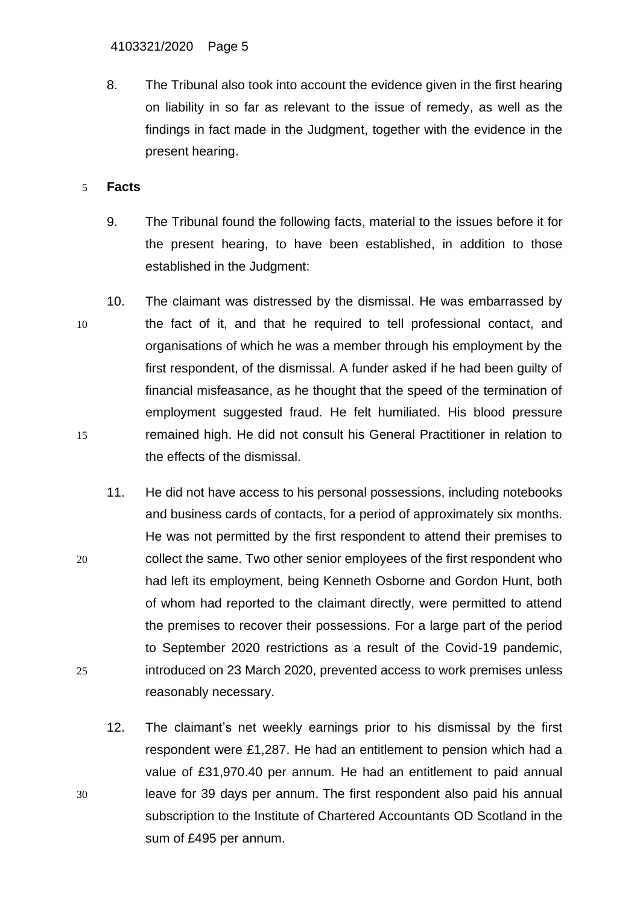8. The Tribunal also took into account the evidence given in the first hearing on liability in so far as relevant to the issue of remedy, as well as the findings in fact made in the Judgment, together with the evidence in the present hearing.

# 5 **Facts**

- 9. The Tribunal found the following facts, material to the issues before it for the present hearing, to have been established, in addition to those established in the Judgment:
- 10. The claimant was distressed by the dismissal. He was embarrassed by 10 the fact of it, and that he required to tell professional contact, and organisations of which he was a member through his employment by the first respondent, of the dismissal. A funder asked if he had been guilty of financial misfeasance, as he thought that the speed of the termination of employment suggested fraud. He felt humiliated. His blood pressure 15 remained high. He did not consult his General Practitioner in relation to the effects of the dismissal.
- 11. He did not have access to his personal possessions, including notebooks and business cards of contacts, for a period of approximately six months. He was not permitted by the first respondent to attend their premises to 20 collect the same. Two other senior employees of the first respondent who had left its employment, being Kenneth Osborne and Gordon Hunt, both of whom had reported to the claimant directly, were permitted to attend the premises to recover their possessions. For a large part of the period to September 2020 restrictions as a result of the Covid-19 pandemic, 25 introduced on 23 March 2020, prevented access to work premises unless reasonably necessary.
- 12. The claimant's net weekly earnings prior to his dismissal by the first respondent were £1,287. He had an entitlement to pension which had a value of £31,970.40 per annum. He had an entitlement to paid annual 30 leave for 39 days per annum. The first respondent also paid his annual subscription to the Institute of Chartered Accountants OD Scotland in the sum of £495 per annum.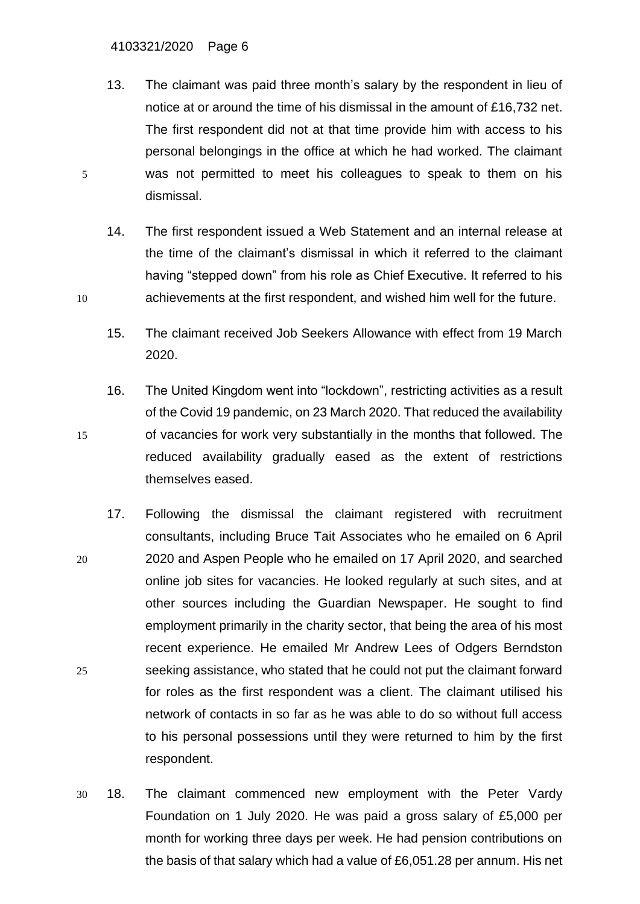- 13. The claimant was paid three month's salary by the respondent in lieu of notice at or around the time of his dismissal in the amount of £16,732 net. The first respondent did not at that time provide him with access to his personal belongings in the office at which he had worked. The claimant 5 was not permitted to meet his colleagues to speak to them on his dismissal.
- 14. The first respondent issued a Web Statement and an internal release at the time of the claimant's dismissal in which it referred to the claimant having "stepped down" from his role as Chief Executive. It referred to his 10 achievements at the first respondent, and wished him well for the future.
	- 15. The claimant received Job Seekers Allowance with effect from 19 March 2020.
- 16. The United Kingdom went into "lockdown", restricting activities as a result of the Covid 19 pandemic, on 23 March 2020. That reduced the availability 15 of vacancies for work very substantially in the months that followed. The reduced availability gradually eased as the extent of restrictions themselves eased.
- 17. Following the dismissal the claimant registered with recruitment consultants, including Bruce Tait Associates who he emailed on 6 April 20 2020 and Aspen People who he emailed on 17 April 2020, and searched online job sites for vacancies. He looked regularly at such sites, and at other sources including the Guardian Newspaper. He sought to find employment primarily in the charity sector, that being the area of his most recent experience. He emailed Mr Andrew Lees of Odgers Berndston 25 seeking assistance, who stated that he could not put the claimant forward for roles as the first respondent was a client. The claimant utilised his network of contacts in so far as he was able to do so without full access to his personal possessions until they were returned to him by the first respondent.
- 30 18. The claimant commenced new employment with the Peter Vardy Foundation on 1 July 2020. He was paid a gross salary of £5,000 per month for working three days per week. He had pension contributions on the basis of that salary which had a value of £6,051.28 per annum. His net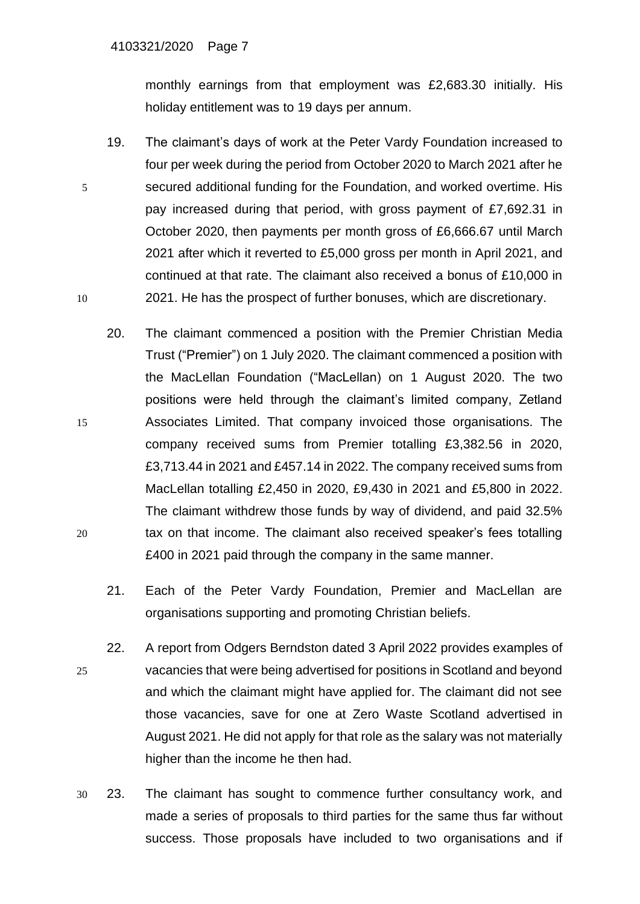monthly earnings from that employment was £2,683.30 initially. His holiday entitlement was to 19 days per annum.

- 19. The claimant's days of work at the Peter Vardy Foundation increased to four per week during the period from October 2020 to March 2021 after he 5 secured additional funding for the Foundation, and worked overtime. His pay increased during that period, with gross payment of £7,692.31 in October 2020, then payments per month gross of £6,666.67 until March 2021 after which it reverted to £5,000 gross per month in April 2021, and continued at that rate. The claimant also received a bonus of £10,000 in 10 2021. He has the prospect of further bonuses, which are discretionary.
- 20. The claimant commenced a position with the Premier Christian Media Trust ("Premier") on 1 July 2020. The claimant commenced a position with the MacLellan Foundation ("MacLellan) on 1 August 2020. The two positions were held through the claimant's limited company, Zetland 15 Associates Limited. That company invoiced those organisations. The company received sums from Premier totalling £3,382.56 in 2020, £3,713.44 in 2021 and £457.14 in 2022. The company received sums from MacLellan totalling £2,450 in 2020, £9,430 in 2021 and £5,800 in 2022. The claimant withdrew those funds by way of dividend, and paid 32.5% 20 tax on that income. The claimant also received speaker's fees totalling £400 in 2021 paid through the company in the same manner.
	- 21. Each of the Peter Vardy Foundation, Premier and MacLellan are organisations supporting and promoting Christian beliefs.
- 22. A report from Odgers Berndston dated 3 April 2022 provides examples of 25 vacancies that were being advertised for positions in Scotland and beyond and which the claimant might have applied for. The claimant did not see those vacancies, save for one at Zero Waste Scotland advertised in August 2021. He did not apply for that role as the salary was not materially higher than the income he then had.
- 30 23. The claimant has sought to commence further consultancy work, and made a series of proposals to third parties for the same thus far without success. Those proposals have included to two organisations and if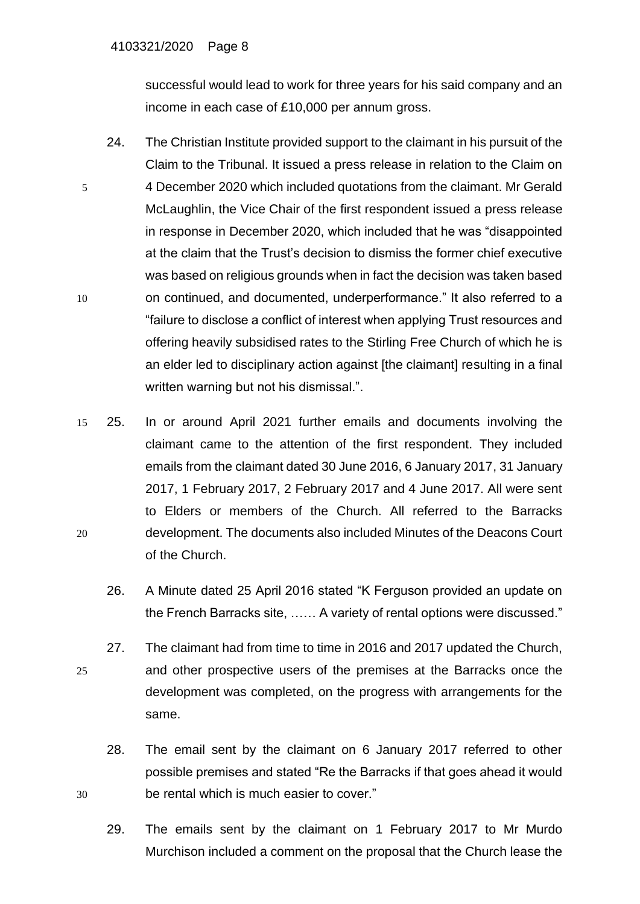#### 4103321/2020 Page 8

successful would lead to work for three years for his said company and an income in each case of £10,000 per annum gross.

- 24. The Christian Institute provided support to the claimant in his pursuit of the Claim to the Tribunal. It issued a press release in relation to the Claim on 5 4 December 2020 which included quotations from the claimant. Mr Gerald McLaughlin, the Vice Chair of the first respondent issued a press release in response in December 2020, which included that he was "disappointed at the claim that the Trust's decision to dismiss the former chief executive was based on religious grounds when in fact the decision was taken based 10 on continued, and documented, underperformance." It also referred to a "failure to disclose a conflict of interest when applying Trust resources and offering heavily subsidised rates to the Stirling Free Church of which he is an elder led to disciplinary action against [the claimant] resulting in a final written warning but not his dismissal.".
- 15 25. In or around April 2021 further emails and documents involving the claimant came to the attention of the first respondent. They included emails from the claimant dated 30 June 2016, 6 January 2017, 31 January 2017, 1 February 2017, 2 February 2017 and 4 June 2017. All were sent to Elders or members of the Church. All referred to the Barracks 20 development. The documents also included Minutes of the Deacons Court of the Church.
	- 26. A Minute dated 25 April 2016 stated "K Ferguson provided an update on the French Barracks site, …… A variety of rental options were discussed."
- 27. The claimant had from time to time in 2016 and 2017 updated the Church, 25 and other prospective users of the premises at the Barracks once the development was completed, on the progress with arrangements for the same.
- 28. The email sent by the claimant on 6 January 2017 referred to other possible premises and stated "Re the Barracks if that goes ahead it would 30 be rental which is much easier to cover."
	- 29. The emails sent by the claimant on 1 February 2017 to Mr Murdo Murchison included a comment on the proposal that the Church lease the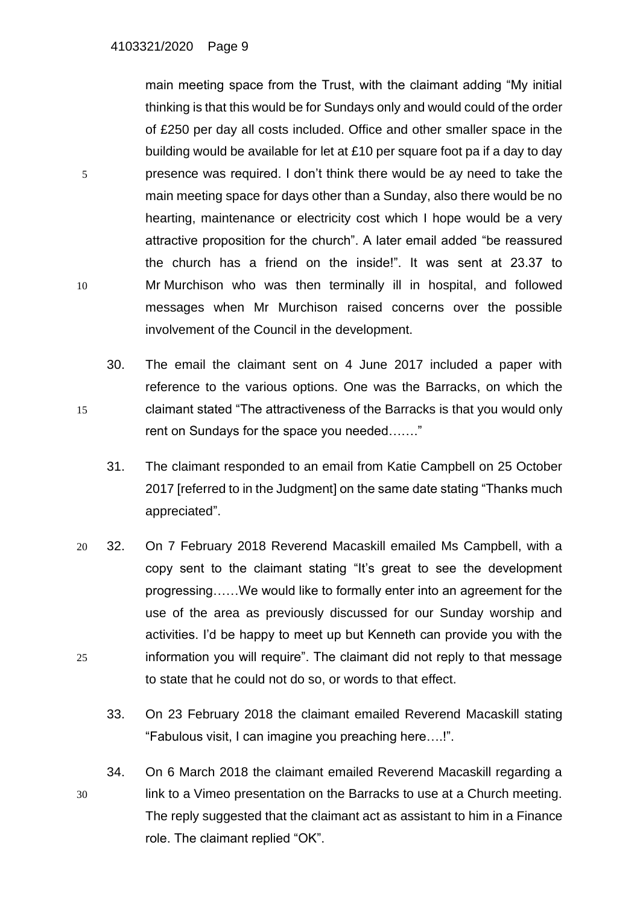main meeting space from the Trust, with the claimant adding "My initial thinking is that this would be for Sundays only and would could of the order of £250 per day all costs included. Office and other smaller space in the building would be available for let at £10 per square foot pa if a day to day 5 presence was required. I don't think there would be ay need to take the main meeting space for days other than a Sunday, also there would be no hearting, maintenance or electricity cost which I hope would be a very attractive proposition for the church". A later email added "be reassured the church has a friend on the inside!". It was sent at 23.37 to 10 Mr Murchison who was then terminally ill in hospital, and followed messages when Mr Murchison raised concerns over the possible involvement of the Council in the development.

- 30. The email the claimant sent on 4 June 2017 included a paper with reference to the various options. One was the Barracks, on which the 15 claimant stated "The attractiveness of the Barracks is that you would only rent on Sundays for the space you needed……."
	- 31. The claimant responded to an email from Katie Campbell on 25 October 2017 [referred to in the Judgment] on the same date stating "Thanks much appreciated".
- 20 32. On 7 February 2018 Reverend Macaskill emailed Ms Campbell, with a copy sent to the claimant stating "It's great to see the development progressing……We would like to formally enter into an agreement for the use of the area as previously discussed for our Sunday worship and activities. I'd be happy to meet up but Kenneth can provide you with the 25 information you will require". The claimant did not reply to that message to state that he could not do so, or words to that effect.
	- 33. On 23 February 2018 the claimant emailed Reverend Macaskill stating "Fabulous visit, I can imagine you preaching here….!".
- 34. On 6 March 2018 the claimant emailed Reverend Macaskill regarding a 30 link to a Vimeo presentation on the Barracks to use at a Church meeting. The reply suggested that the claimant act as assistant to him in a Finance role. The claimant replied "OK".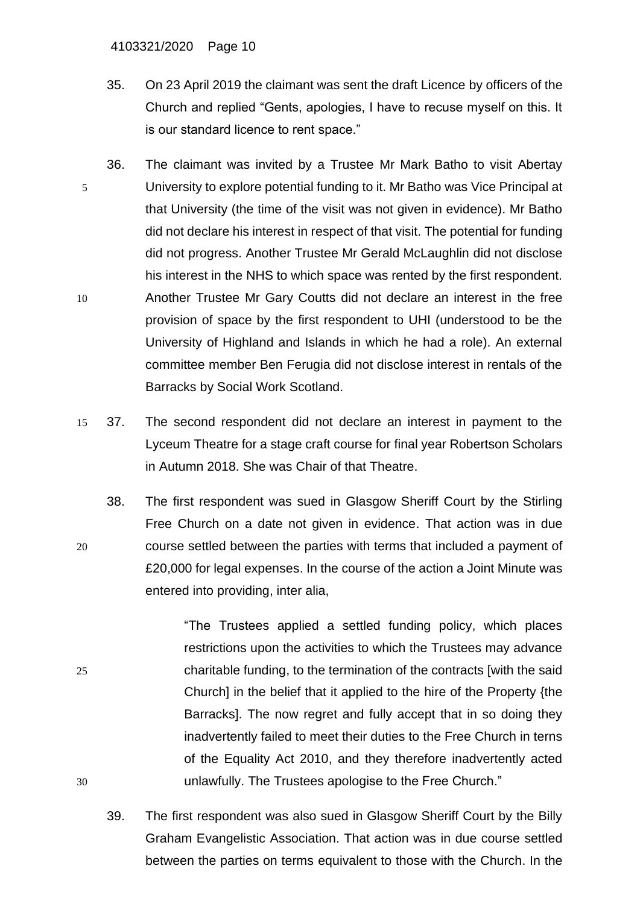#### 4103321/2020 Page 10

- 35. On 23 April 2019 the claimant was sent the draft Licence by officers of the Church and replied "Gents, apologies, I have to recuse myself on this. It is our standard licence to rent space."
- 36. The claimant was invited by a Trustee Mr Mark Batho to visit Abertay 5 University to explore potential funding to it. Mr Batho was Vice Principal at that University (the time of the visit was not given in evidence). Mr Batho did not declare his interest in respect of that visit. The potential for funding did not progress. Another Trustee Mr Gerald McLaughlin did not disclose his interest in the NHS to which space was rented by the first respondent. 10 Another Trustee Mr Gary Coutts did not declare an interest in the free provision of space by the first respondent to UHI (understood to be the University of Highland and Islands in which he had a role). An external committee member Ben Ferugia did not disclose interest in rentals of the Barracks by Social Work Scotland.
- 15 37. The second respondent did not declare an interest in payment to the Lyceum Theatre for a stage craft course for final year Robertson Scholars in Autumn 2018. She was Chair of that Theatre.
- 38. The first respondent was sued in Glasgow Sheriff Court by the Stirling Free Church on a date not given in evidence. That action was in due 20 course settled between the parties with terms that included a payment of £20,000 for legal expenses. In the course of the action a Joint Minute was entered into providing, inter alia,

"The Trustees applied a settled funding policy, which places restrictions upon the activities to which the Trustees may advance 25 charitable funding, to the termination of the contracts [with the said Church] in the belief that it applied to the hire of the Property {the Barracks]. The now regret and fully accept that in so doing they inadvertently failed to meet their duties to the Free Church in terns of the Equality Act 2010, and they therefore inadvertently acted 30 unlawfully. The Trustees apologise to the Free Church."

39. The first respondent was also sued in Glasgow Sheriff Court by the Billy Graham Evangelistic Association. That action was in due course settled between the parties on terms equivalent to those with the Church. In the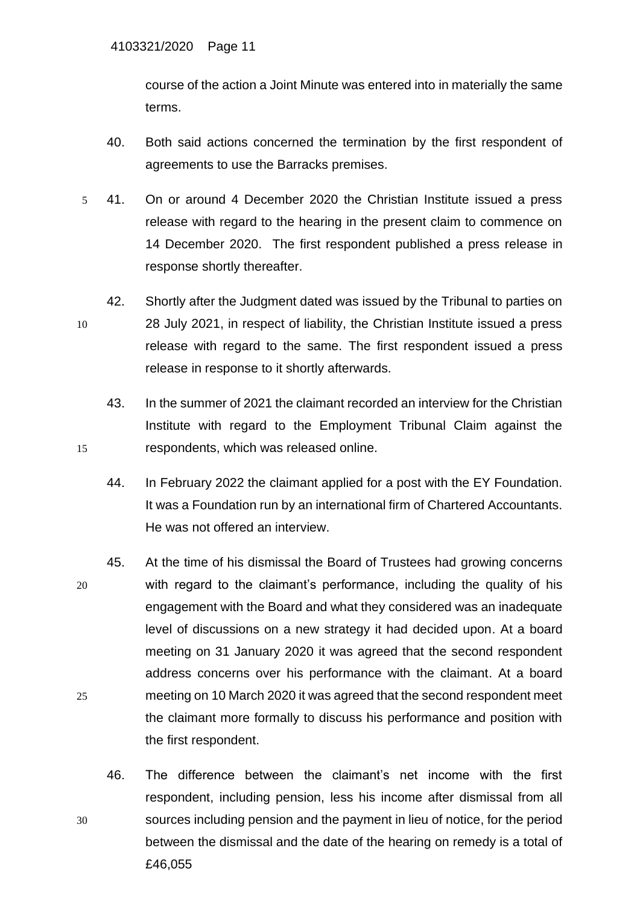course of the action a Joint Minute was entered into in materially the same terms.

- 40. Both said actions concerned the termination by the first respondent of agreements to use the Barracks premises.
- 5 41. On or around 4 December 2020 the Christian Institute issued a press release with regard to the hearing in the present claim to commence on 14 December 2020. The first respondent published a press release in response shortly thereafter.
- 42. Shortly after the Judgment dated was issued by the Tribunal to parties on 10 28 July 2021, in respect of liability, the Christian Institute issued a press release with regard to the same. The first respondent issued a press release in response to it shortly afterwards.
- 43. In the summer of 2021 the claimant recorded an interview for the Christian Institute with regard to the Employment Tribunal Claim against the 15 respondents, which was released online.
	- 44. In February 2022 the claimant applied for a post with the EY Foundation. It was a Foundation run by an international firm of Chartered Accountants. He was not offered an interview.
- 45. At the time of his dismissal the Board of Trustees had growing concerns 20 with regard to the claimant's performance, including the quality of his engagement with the Board and what they considered was an inadequate level of discussions on a new strategy it had decided upon. At a board meeting on 31 January 2020 it was agreed that the second respondent address concerns over his performance with the claimant. At a board 25 meeting on 10 March 2020 it was agreed that the second respondent meet the claimant more formally to discuss his performance and position with the first respondent.
- 46. The difference between the claimant's net income with the first respondent, including pension, less his income after dismissal from all 30 sources including pension and the payment in lieu of notice, for the period between the dismissal and the date of the hearing on remedy is a total of £46,055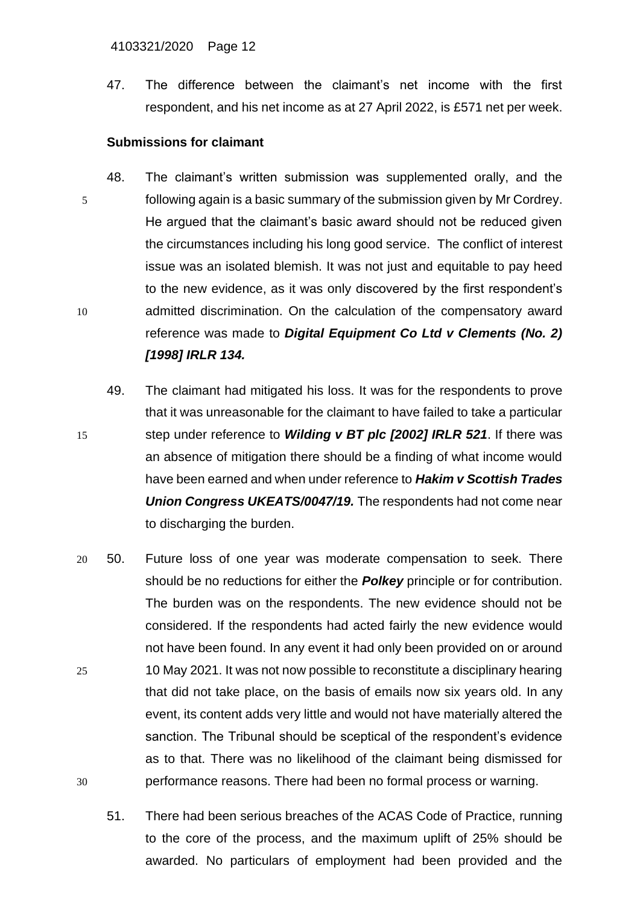47. The difference between the claimant's net income with the first respondent, and his net income as at 27 April 2022, is £571 net per week.

## **Submissions for claimant**

- 48. The claimant's written submission was supplemented orally, and the 5 following again is a basic summary of the submission given by Mr Cordrey. He argued that the claimant's basic award should not be reduced given the circumstances including his long good service. The conflict of interest issue was an isolated blemish. It was not just and equitable to pay heed to the new evidence, as it was only discovered by the first respondent's 10 admitted discrimination. On the calculation of the compensatory award reference was made to *Digital Equipment Co Ltd v Clements (No. 2) [1998] IRLR 134.*
- 49. The claimant had mitigated his loss. It was for the respondents to prove that it was unreasonable for the claimant to have failed to take a particular 15 step under reference to *Wilding v BT plc [2002] IRLR 521*. If there was an absence of mitigation there should be a finding of what income would have been earned and when under reference to *Hakim v Scottish Trades Union Congress UKEATS/0047/19.* The respondents had not come near to discharging the burden.
- 20 50. Future loss of one year was moderate compensation to seek. There should be no reductions for either the *Polkey* principle or for contribution. The burden was on the respondents. The new evidence should not be considered. If the respondents had acted fairly the new evidence would not have been found. In any event it had only been provided on or around 25 10 May 2021. It was not now possible to reconstitute a disciplinary hearing that did not take place, on the basis of emails now six years old. In any event, its content adds very little and would not have materially altered the sanction. The Tribunal should be sceptical of the respondent's evidence as to that. There was no likelihood of the claimant being dismissed for 30 performance reasons. There had been no formal process or warning.
	- 51. There had been serious breaches of the ACAS Code of Practice, running to the core of the process, and the maximum uplift of 25% should be awarded. No particulars of employment had been provided and the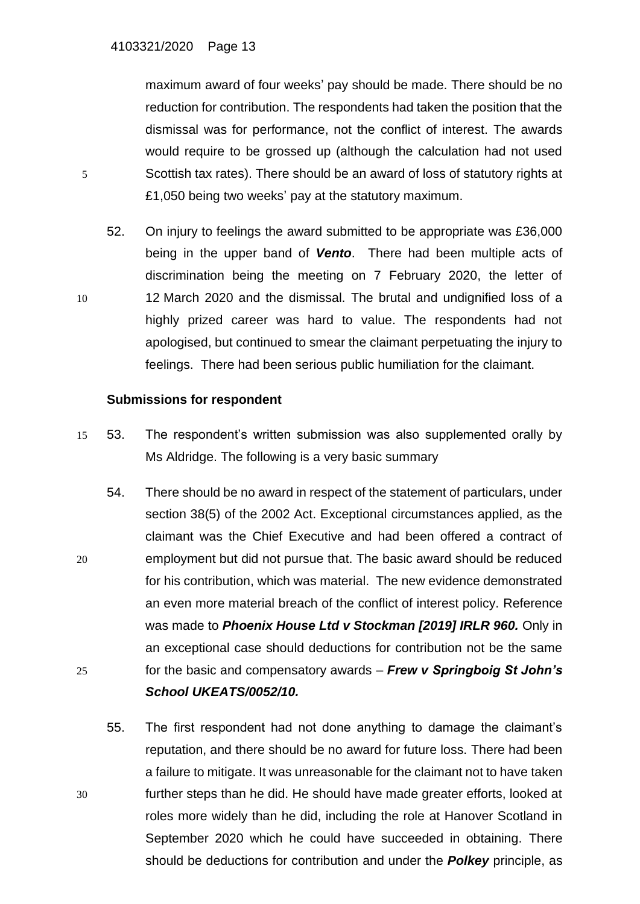maximum award of four weeks' pay should be made. There should be no reduction for contribution. The respondents had taken the position that the dismissal was for performance, not the conflict of interest. The awards would require to be grossed up (although the calculation had not used 5 Scottish tax rates). There should be an award of loss of statutory rights at £1,050 being two weeks' pay at the statutory maximum.

52. On injury to feelings the award submitted to be appropriate was £36,000 being in the upper band of *Vento*. There had been multiple acts of discrimination being the meeting on 7 February 2020, the letter of 10 12 March 2020 and the dismissal. The brutal and undignified loss of a highly prized career was hard to value. The respondents had not apologised, but continued to smear the claimant perpetuating the injury to feelings. There had been serious public humiliation for the claimant.

### **Submissions for respondent**

- 15 53. The respondent's written submission was also supplemented orally by Ms Aldridge. The following is a very basic summary
- 54. There should be no award in respect of the statement of particulars, under section 38(5) of the 2002 Act. Exceptional circumstances applied, as the claimant was the Chief Executive and had been offered a contract of 20 employment but did not pursue that. The basic award should be reduced for his contribution, which was material. The new evidence demonstrated an even more material breach of the conflict of interest policy. Reference was made to *Phoenix House Ltd v Stockman [2019] IRLR 960.* Only in an exceptional case should deductions for contribution not be the same 25 for the basic and compensatory awards – *Frew v Springboig St John's School UKEATS/0052/10.*
- 55. The first respondent had not done anything to damage the claimant's reputation, and there should be no award for future loss. There had been a failure to mitigate. It was unreasonable for the claimant not to have taken 30 further steps than he did. He should have made greater efforts, looked at roles more widely than he did, including the role at Hanover Scotland in September 2020 which he could have succeeded in obtaining. There should be deductions for contribution and under the *Polkey* principle, as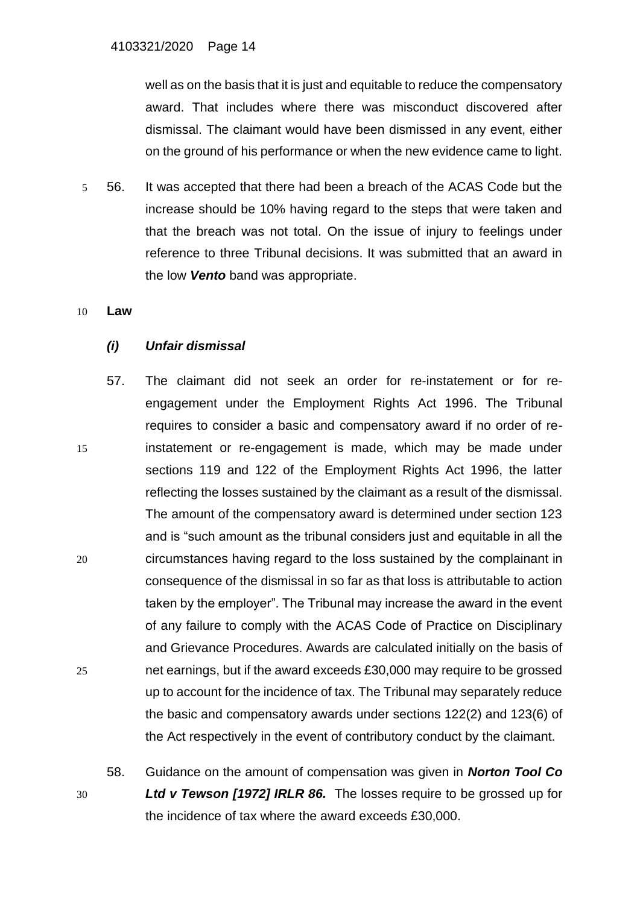well as on the basis that it is just and equitable to reduce the compensatory award. That includes where there was misconduct discovered after dismissal. The claimant would have been dismissed in any event, either on the ground of his performance or when the new evidence came to light.

5 56. It was accepted that there had been a breach of the ACAS Code but the increase should be 10% having regard to the steps that were taken and that the breach was not total. On the issue of injury to feelings under reference to three Tribunal decisions. It was submitted that an award in the low *Vento* band was appropriate.

10 **Law**

# *(i) Unfair dismissal*

- 57. The claimant did not seek an order for re-instatement or for reengagement under the Employment Rights Act 1996. The Tribunal requires to consider a basic and compensatory award if no order of re-15 instatement or re-engagement is made, which may be made under sections 119 and 122 of the Employment Rights Act 1996, the latter reflecting the losses sustained by the claimant as a result of the dismissal. The amount of the compensatory award is determined under section 123 and is "such amount as the tribunal considers just and equitable in all the 20 circumstances having regard to the loss sustained by the complainant in consequence of the dismissal in so far as that loss is attributable to action taken by the employer". The Tribunal may increase the award in the event of any failure to comply with the ACAS Code of Practice on Disciplinary and Grievance Procedures. Awards are calculated initially on the basis of 25 net earnings, but if the award exceeds £30,000 may require to be grossed up to account for the incidence of tax. The Tribunal may separately reduce the basic and compensatory awards under sections 122(2) and 123(6) of the Act respectively in the event of contributory conduct by the claimant.
- 58. Guidance on the amount of compensation was given in *Norton Tool Co*  30 *Ltd v Tewson [1972] IRLR 86.* The losses require to be grossed up for the incidence of tax where the award exceeds £30,000.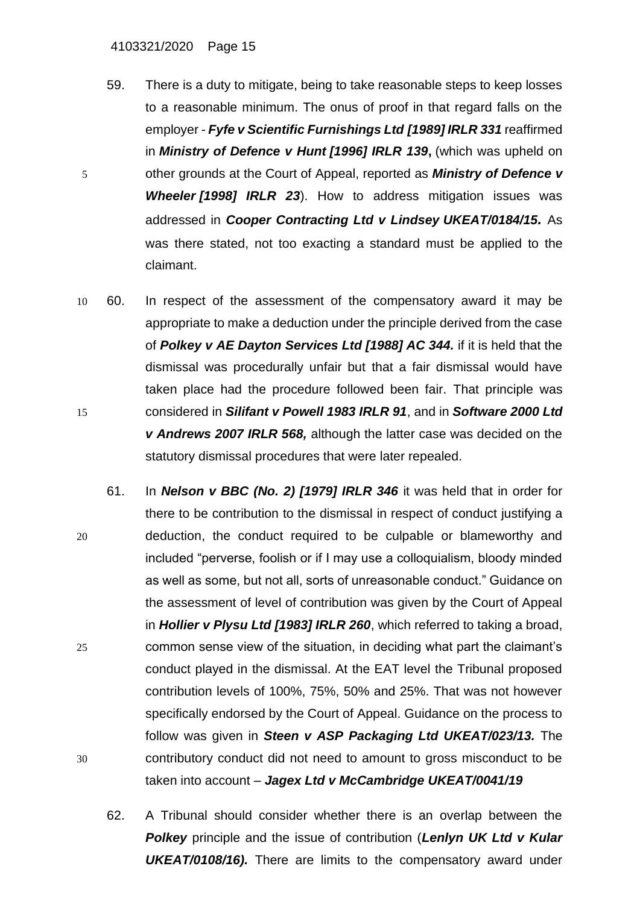#### 4103321/2020 Page 15

- 59. There is a duty to mitigate, being to take reasonable steps to keep losses to a reasonable minimum. The onus of proof in that regard falls on the employer - *Fyfe v Scientific Furnishings Ltd [\[1989\]](https://www.lexisnexis.com/uk/legal/search/enhRunRemoteLink.do?linkInfo=F%23GB%23IRLR%23sel1%251989%25year%251989%25page%25331%25&A=0.09021136982825928&backKey=20_T483099917&service=citation&ersKey=23_T483099219&langcountry=GB) IRLR 331* reaffirmed in *Ministry of Defence v Hunt [\[1996\]](https://www.lexisnexis.com/uk/legal/search/enhRunRemoteLink.do?linkInfo=F%23GB%23IRLR%23sel1%251996%25year%251996%25page%25139%25&A=0.14559074374090386&backKey=20_T483099917&service=citation&ersKey=23_T483099219&langcountry=GB) IRLR 139***,** (which was upheld on 5 other grounds at the Court of Appeal, reported as *Ministry of Defence v Wheeler [\[1998\]](https://www.lexisnexis.com/uk/legal/search/enhRunRemoteLink.do?linkInfo=F%23GB%23IRLR%23sel1%251998%25year%251998%25page%2523%25&A=0.15378350552237552&backKey=20_T483099917&service=citation&ersKey=23_T483099219&langcountry=GB) IRLR 23*). How to address mitigation issues was addressed in *Cooper Contracting Ltd v Lindsey [UKEAT/0184/15](https://www.lexisnexis.com/uk/legal/search/enhRunRemoteLink.do?linkInfo=F%23GB%23UKEAT%23sel1%2515%25year%2515%25page%250184%25&A=0.02841932153172866&backKey=20_T483099917&service=citation&ersKey=23_T483099219&langcountry=GB).* As was there stated, not too exacting a standard must be applied to the claimant.
- 10 60. In respect of the assessment of the compensatory award it may be appropriate to make a deduction under the principle derived from the case of *Polkey v AE Dayton Services Ltd [1988] AC 344.* if it is held that the dismissal was procedurally unfair but that a fair dismissal would have taken place had the procedure followed been fair. That principle was 15 considered in *Silifant v Powell 1983 IRLR 91*, and in *Software 2000 Ltd v Andrews 2007 IRLR 568,* although the latter case was decided on the statutory dismissal procedures that were later repealed.
- 61. In *Nelson v BBC (No. 2) [1979] IRLR 346* it was held that in order for there to be contribution to the dismissal in respect of conduct justifying a 20 deduction, the conduct required to be culpable or blameworthy and included "perverse, foolish or if I may use a colloquialism, bloody minded as well as some, but not all, sorts of unreasonable conduct." Guidance on the assessment of level of contribution was given by the Court of Appeal in *Hollier v Plysu Ltd [1983] IRLR 260*, which referred to taking a broad, 25 common sense view of the situation, in deciding what part the claimant's conduct played in the dismissal. At the EAT level the Tribunal proposed contribution levels of 100%, 75%, 50% and 25%. That was not however specifically endorsed by the Court of Appeal. Guidance on the process to follow was given in *Steen v ASP Packaging Ltd UKEAT/023/13.* The 30 contributory conduct did not need to amount to gross misconduct to be taken into account – *Jagex Ltd v McCambridge UKEAT/0041/19*
	- 62. A Tribunal should consider whether there is an overlap between the *Polkey* principle and the issue of contribution (*Lenlyn UK Ltd v Kular UKEAT/0108/16).* There are limits to the compensatory award under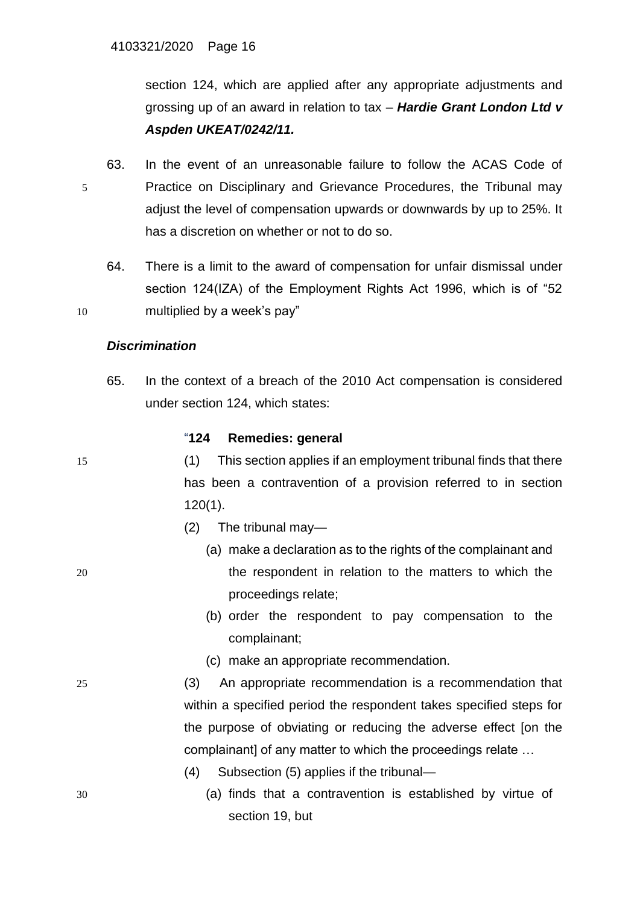section 124, which are applied after any appropriate adjustments and grossing up of an award in relation to tax – *Hardie Grant London Ltd v Aspden UKEAT/0242/11.*

- 63. In the event of an unreasonable failure to follow the ACAS Code of 5 Practice on Disciplinary and Grievance Procedures, the Tribunal may adjust the level of compensation upwards or downwards by up to 25%. It has a discretion on whether or not to do so.
- 64. There is a limit to the award of compensation for unfair dismissal under section 124(IZA) of the Employment Rights Act 1996, which is of "52 10 multiplied by a week's pay"

## *Discrimination*

65. In the context of a breach of the 2010 Act compensation is considered under section 124, which states:

### "**124 Remedies: general**

15 (1) This section applies if an employment tribunal finds that there has been a contravention of a provision referred to in section 120(1).

- (2) The tribunal may—
- (a) make a declaration as to the rights of the complainant and 20 the respondent in relation to the matters to which the proceedings relate;
	- (b) order the respondent to pay compensation to the complainant;
	- (c) make an appropriate recommendation.
- 25 (3) An appropriate recommendation is a recommendation that within a specified period the respondent takes specified steps for the purpose of obviating or reducing the adverse effect [on the complainant] of any matter to which the proceedings relate …
	- (4) Subsection (5) applies if the tribunal—
- 30 (a) finds that a contravention is established by virtue of section 19, but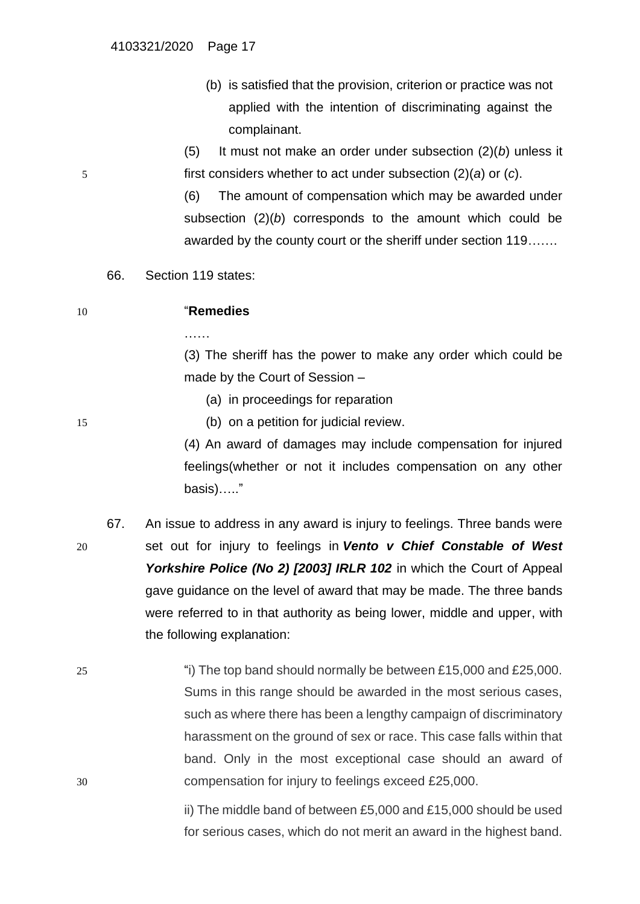(b) is satisfied that the provision, criterion or practice was not applied with the intention of discriminating against the complainant.

(5) It must not make an order under subsection (2)(*b*) unless it 5 first considers whether to act under subsection (2)(*a*) or (*c*).

> (6) The amount of compensation which may be awarded under subsection (2)(*b*) corresponds to the amount which could be awarded by the county court or the sheriff under section 119…….

66. Section 119 states:

…<br>……

| 10 | "Remedies |
|----|-----------|
|    |           |

(3) The sheriff has the power to make any order which could be made by the Court of Session –

(a) in proceedings for reparation

15 (b) on a petition for judicial review.

(4) An award of damages may include compensation for injured feelings(whether or not it includes compensation on any other basis)….."

67. An issue to address in any award is injury to feelings. Three bands were 20 set out for injury to feelings in *Vento v Chief Constable of West*  Yorkshire Police (No 2) [2003] IRLR 102 in which the Court of Appeal gave guidance on the level of award that may be made. The three bands were referred to in that authority as being lower, middle and upper, with the following explanation:

25 "i) The top band should normally be between £15,000 and £25,000. Sums in this range should be awarded in the most serious cases, such as where there has been a lengthy campaign of discriminatory harassment on the ground of sex or race. This case falls within that band. Only in the most exceptional case should an award of 30 compensation for injury to feelings exceed £25,000.

> ii) The middle band of between £5,000 and £15,000 should be used for serious cases, which do not merit an award in the highest band.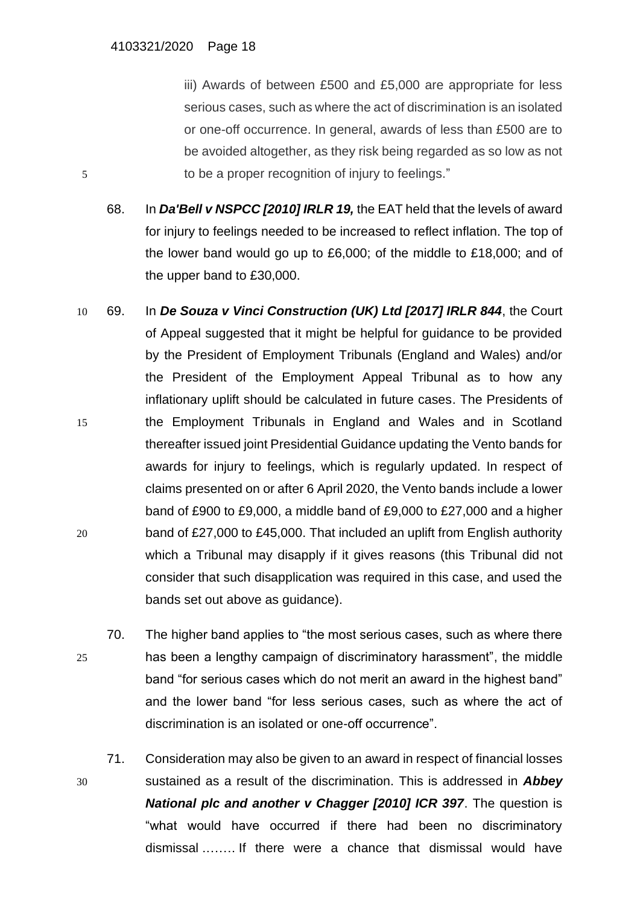iii) Awards of between £500 and £5,000 are appropriate for less serious cases, such as where the act of discrimination is an isolated or one-off occurrence. In general, awards of less than £500 are to be avoided altogether, as they risk being regarded as so low as not 5 to be a proper recognition of injury to feelings."

- 68. In *Da'Bell v NSPCC [2010] IRLR 19,* the EAT held that the levels of award for injury to feelings needed to be increased to reflect inflation. The top of the lower band would go up to £6,000; of the middle to £18,000; and of the upper band to £30,000.
- 10 69. In *De Souza v Vinci Construction (UK) Ltd [2017] IRLR 844*, the Court of Appeal suggested that it might be helpful for guidance to be provided by the President of Employment Tribunals (England and Wales) and/or the President of the Employment Appeal Tribunal as to how any inflationary uplift should be calculated in future cases. The Presidents of 15 the Employment Tribunals in England and Wales and in Scotland thereafter issued joint Presidential Guidance updating the Vento bands for awards for injury to feelings, which is regularly updated. In respect of claims presented on or after 6 April 2020, the Vento bands include a lower band of £900 to £9,000, a middle band of £9,000 to £27,000 and a higher 20 band of £27,000 to £45,000. That included an uplift from English authority which a Tribunal may disapply if it gives reasons (this Tribunal did not consider that such disapplication was required in this case, and used the bands set out above as guidance).
- 70. The higher band applies to "the most serious cases, such as where there 25 has been a lengthy campaign of discriminatory harassment", the middle band "for serious cases which do not merit an award in the highest band" and the lower band "for less serious cases, such as where the act of discrimination is an isolated or one-off occurrence".
- 71. Consideration may also be given to an award in respect of financial losses 30 sustained as a result of the discrimination. This is addressed in *Abbey National plc and another v Chagger [2010] ICR 397*. The question is "what would have occurred if there had been no discriminatory dismissal .……. If there were a chance that dismissal would have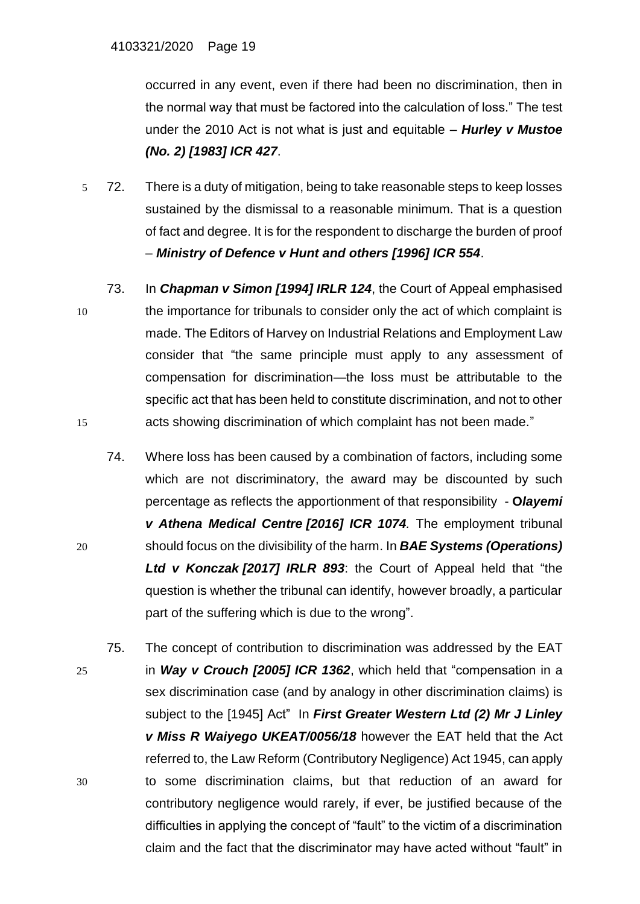occurred in any event, even if there had been no discrimination, then in the normal way that must be factored into the calculation of loss." The test under the 2010 Act is not what is just and equitable – *Hurley v Mustoe (No. 2) [1983] ICR 427*.

- 5 72. There is a duty of mitigation, being to take reasonable steps to keep losses sustained by the dismissal to a reasonable minimum. That is a question of fact and degree. It is for the respondent to discharge the burden of proof – *Ministry of Defence v Hunt and others [1996] ICR 554*.
- 73. In *Chapman v Simon [\[1994\]](https://www.lexisnexis.com/uk/legal/search/enhRunRemoteLink.do?linkInfo=F%23GB%23IRLR%23sel1%251994%25year%251994%25page%25124%25&A=0.7911030467174527&backKey=20_T511687004&service=citation&ersKey=23_T511686996&langcountry=GB) IRLR 124*, the Court of Appeal emphasised 10 the importance for tribunals to consider only the act of which complaint is made. The Editors of Harvey on Industrial Relations and Employment Law consider that "the same principle must apply to any assessment of compensation for discrimination—the loss must be attributable to the specific act that has been held to constitute discrimination, and not to other 15 acts showing discrimination of which complaint has not been made."
- 74. Where loss has been caused by a combination of factors, including some which are not discriminatory, the award may be discounted by such percentage as reflects the apportionment of that responsibility - **O***layemi v Athena Medical Centre [\[2016\]](https://www.lexisnexis.com/uk/legal/search/enhRunRemoteLink.do?linkInfo=F%23GB%23ICR%23sel1%252016%25year%252016%25page%251074%25&A=0.9224574091702455&backKey=20_T511687004&service=citation&ersKey=23_T511686996&langcountry=GB) ICR 1074.* The employment tribunal 20 should focus on the divisibility of the harm. In *BAE Systems (Operations) Ltd v Konczak [\[2017\]](https://www.lexisnexis.com/uk/legal/search/enhRunRemoteLink.do?linkInfo=F%23GB%23IRLR%23sel1%252017%25year%252017%25page%25893%25&A=0.104117006376929&backKey=20_T514295543&service=citation&ersKey=23_T514295538&langcountry=GB) IRLR 893*: the Court of Appeal held that "the question is whether the tribunal can identify, however broadly, a particular part of the suffering which is due to the wrong".
- 75. The concept of contribution to discrimination was addressed by the EAT 25 in *Way v Crouch [2005] ICR 1362*, which held that "compensation in a sex discrimination case (and by analogy in other discrimination claims) is subject to the [1945] Act" In *[First Greater Western Ltd \(2\) Mr J Linley](https://assets.publishing.service.gov.uk/media/5c9a62a3ed915d07ac4243aa/_1__First_Greater_Western_Ltd__2__Mr_J_Linley_v_Miss_R_Waiyego_UKEAT_0056_18_RN.pdf)  [v Miss R Waiyego UKEAT/0056/18](https://assets.publishing.service.gov.uk/media/5c9a62a3ed915d07ac4243aa/_1__First_Greater_Western_Ltd__2__Mr_J_Linley_v_Miss_R_Waiyego_UKEAT_0056_18_RN.pdf)* however the EAT held that the Act [referred to, the Law Reform \(Contributory Negligence\) Act 1945,](https://assets.publishing.service.gov.uk/media/5c9a62a3ed915d07ac4243aa/_1__First_Greater_Western_Ltd__2__Mr_J_Linley_v_Miss_R_Waiyego_UKEAT_0056_18_RN.pdf) can apply 30 [to some discrimination claims, but](https://assets.publishing.service.gov.uk/media/5c9a62a3ed915d07ac4243aa/_1__First_Greater_Western_Ltd__2__Mr_J_Linley_v_Miss_R_Waiyego_UKEAT_0056_18_RN.pdf) that reduction of an award for [contributory negligence would rarely, if ever, be justified because of the](https://assets.publishing.service.gov.uk/media/5c9a62a3ed915d07ac4243aa/_1__First_Greater_Western_Ltd__2__Mr_J_Linley_v_Miss_R_Waiyego_UKEAT_0056_18_RN.pdf)  [difficulties in applying the concept of "fault" to the victim of a discrimination](https://assets.publishing.service.gov.uk/media/5c9a62a3ed915d07ac4243aa/_1__First_Greater_Western_Ltd__2__Mr_J_Linley_v_Miss_R_Waiyego_UKEAT_0056_18_RN.pdf)  [claim and the fact that the discriminator may have acted without "fault" in](https://assets.publishing.service.gov.uk/media/5c9a62a3ed915d07ac4243aa/_1__First_Greater_Western_Ltd__2__Mr_J_Linley_v_Miss_R_Waiyego_UKEAT_0056_18_RN.pdf)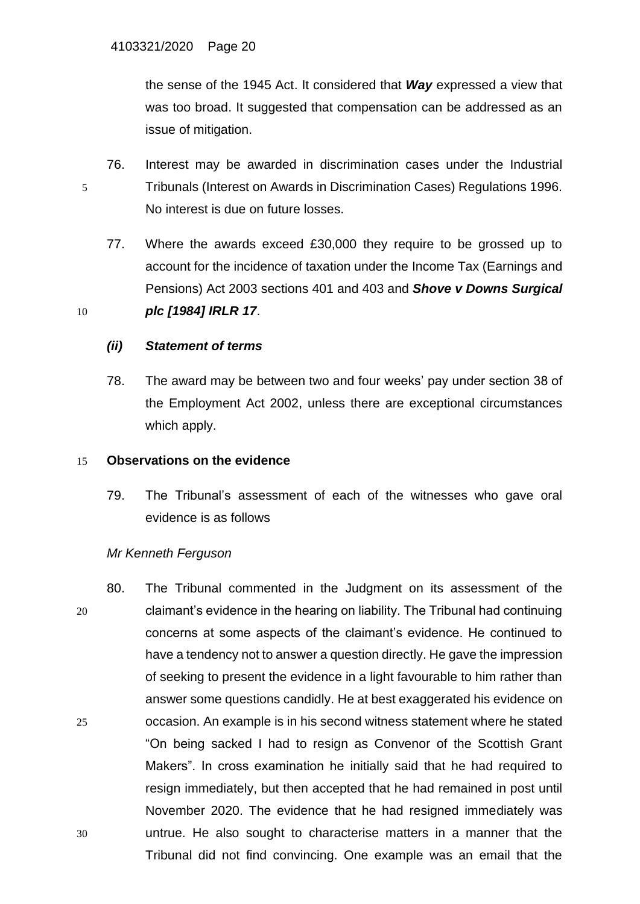[the sense of the 1945 Act. It considered that](https://assets.publishing.service.gov.uk/media/5c9a62a3ed915d07ac4243aa/_1__First_Greater_Western_Ltd__2__Mr_J_Linley_v_Miss_R_Waiyego_UKEAT_0056_18_RN.pdf) *Way* expressed a view that was [too broad. It suggested that compensation can be addressed as an](https://assets.publishing.service.gov.uk/media/5c9a62a3ed915d07ac4243aa/_1__First_Greater_Western_Ltd__2__Mr_J_Linley_v_Miss_R_Waiyego_UKEAT_0056_18_RN.pdf)  [issue of mitigation.](https://assets.publishing.service.gov.uk/media/5c9a62a3ed915d07ac4243aa/_1__First_Greater_Western_Ltd__2__Mr_J_Linley_v_Miss_R_Waiyego_UKEAT_0056_18_RN.pdf)

- 76. Interest may be awarded in discrimination cases under the Industrial 5 Tribunals (Interest on Awards in Discrimination Cases) Regulations 1996. No interest is due on future losses.
- 77. Where the awards exceed £30,000 they require to be grossed up to account for the incidence of taxation under the [Income Tax \(Earnings and](https://www.lexisnexis.com/uk/legal/search/enhRunRemoteLink.do?linkInfo=F%23GB%23UK_LEG%23num%252003_1a_SECT_401%25&A=0.06767566205570108&backKey=20_T514549434&service=citation&ersKey=23_T514295538&langcountry=GB)  [Pensions\) Act 2003 sections](https://www.lexisnexis.com/uk/legal/search/enhRunRemoteLink.do?linkInfo=F%23GB%23UK_LEG%23num%252003_1a_SECT_401%25&A=0.06767566205570108&backKey=20_T514549434&service=citation&ersKey=23_T514295538&langcountry=GB) 401 and [403](https://www.lexisnexis.com/uk/legal/search/enhRunRemoteLink.do?linkInfo=F%23GB%23UK_LEG%23num%252003_1a_SECT_403%25&A=0.5607667251276272&backKey=20_T514549434&service=citation&ersKey=23_T514295538&langcountry=GB) and *Shove v Downs Surgical* 10 *plc [\[1984\]](https://www.lexisnexis.com/uk/legal/search/enhRunRemoteLink.do?linkInfo=F%23GB%23IRLR%23sel1%251984%25year%251984%25page%2517%25&A=0.379992697602474&backKey=20_T514549434&service=citation&ersKey=23_T514295538&langcountry=GB) IRLR 17*.

# *(ii) Statement of terms*

78. The award may be between two and four weeks' pay under section 38 of the Employment Act 2002, unless there are exceptional circumstances which apply.

### 15 **Observations on the evidence**

79. The Tribunal's assessment of each of the witnesses who gave oral evidence is as follows

### *Mr Kenneth Ferguson*

80. The Tribunal commented in the Judgment on its assessment of the 20 claimant's evidence in the hearing on liability. The Tribunal had continuing concerns at some aspects of the claimant's evidence. He continued to have a tendency not to answer a question directly. He gave the impression of seeking to present the evidence in a light favourable to him rather than answer some questions candidly. He at best exaggerated his evidence on 25 occasion. An example is in his second witness statement where he stated "On being sacked I had to resign as Convenor of the Scottish Grant Makers". In cross examination he initially said that he had required to resign immediately, but then accepted that he had remained in post until November 2020. The evidence that he had resigned immediately was 30 untrue. He also sought to characterise matters in a manner that the Tribunal did not find convincing. One example was an email that the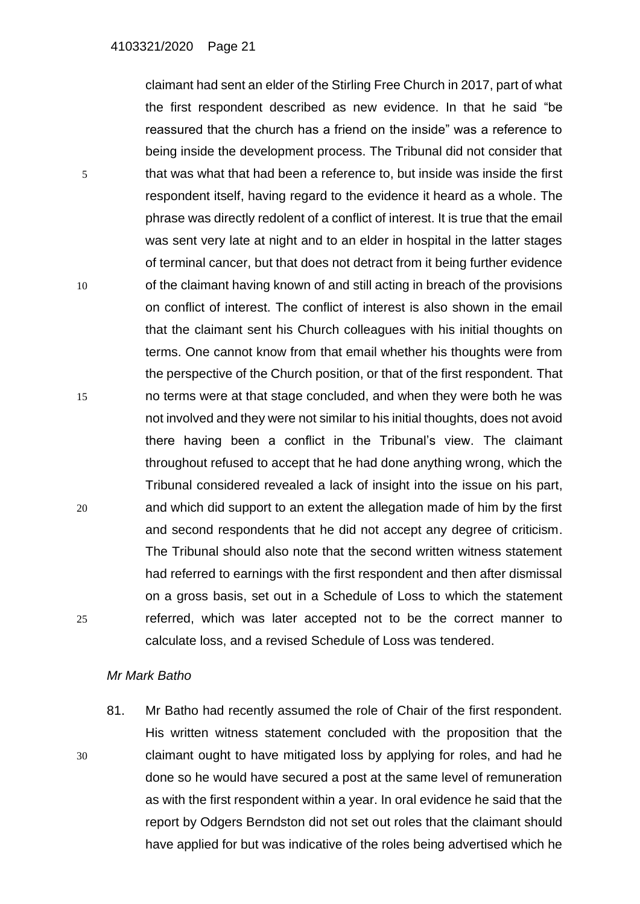claimant had sent an elder of the Stirling Free Church in 2017, part of what the first respondent described as new evidence. In that he said "be reassured that the church has a friend on the inside" was a reference to being inside the development process. The Tribunal did not consider that 5 that was what that had been a reference to, but inside was inside the first respondent itself, having regard to the evidence it heard as a whole. The phrase was directly redolent of a conflict of interest. It is true that the email was sent very late at night and to an elder in hospital in the latter stages of terminal cancer, but that does not detract from it being further evidence 10 of the claimant having known of and still acting in breach of the provisions on conflict of interest. The conflict of interest is also shown in the email that the claimant sent his Church colleagues with his initial thoughts on terms. One cannot know from that email whether his thoughts were from the perspective of the Church position, or that of the first respondent. That 15 no terms were at that stage concluded, and when they were both he was not involved and they were not similar to his initial thoughts, does not avoid there having been a conflict in the Tribunal's view. The claimant throughout refused to accept that he had done anything wrong, which the Tribunal considered revealed a lack of insight into the issue on his part, 20 and which did support to an extent the allegation made of him by the first and second respondents that he did not accept any degree of criticism. The Tribunal should also note that the second written witness statement had referred to earnings with the first respondent and then after dismissal on a gross basis, set out in a Schedule of Loss to which the statement 25 referred, which was later accepted not to be the correct manner to calculate loss, and a revised Schedule of Loss was tendered.

#### *Mr Mark Batho*

81. Mr Batho had recently assumed the role of Chair of the first respondent. His written witness statement concluded with the proposition that the 30 claimant ought to have mitigated loss by applying for roles, and had he done so he would have secured a post at the same level of remuneration as with the first respondent within a year. In oral evidence he said that the report by Odgers Berndston did not set out roles that the claimant should have applied for but was indicative of the roles being advertised which he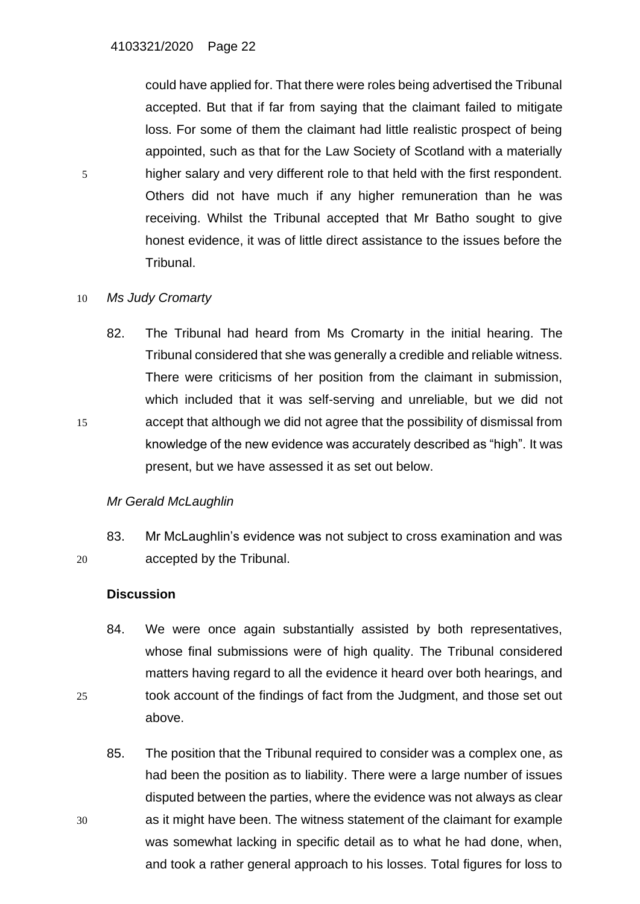could have applied for. That there were roles being advertised the Tribunal accepted. But that if far from saying that the claimant failed to mitigate loss. For some of them the claimant had little realistic prospect of being appointed, such as that for the Law Society of Scotland with a materially 5 higher salary and very different role to that held with the first respondent. Others did not have much if any higher remuneration than he was receiving. Whilst the Tribunal accepted that Mr Batho sought to give honest evidence, it was of little direct assistance to the issues before the Tribunal.

## 10 *Ms Judy Cromarty*

82. The Tribunal had heard from Ms Cromarty in the initial hearing. The Tribunal considered that she was generally a credible and reliable witness. There were criticisms of her position from the claimant in submission, which included that it was self-serving and unreliable, but we did not 15 accept that although we did not agree that the possibility of dismissal from knowledge of the new evidence was accurately described as "high". It was present, but we have assessed it as set out below.

# *Mr Gerald McLaughlin*

83. Mr McLaughlin's evidence was not subject to cross examination and was 20 accepted by the Tribunal.

### **Discussion**

- 84. We were once again substantially assisted by both representatives, whose final submissions were of high quality. The Tribunal considered matters having regard to all the evidence it heard over both hearings, and 25 took account of the findings of fact from the Judgment, and those set out above.
- 85. The position that the Tribunal required to consider was a complex one, as had been the position as to liability. There were a large number of issues disputed between the parties, where the evidence was not always as clear 30 as it might have been. The witness statement of the claimant for example was somewhat lacking in specific detail as to what he had done, when, and took a rather general approach to his losses. Total figures for loss to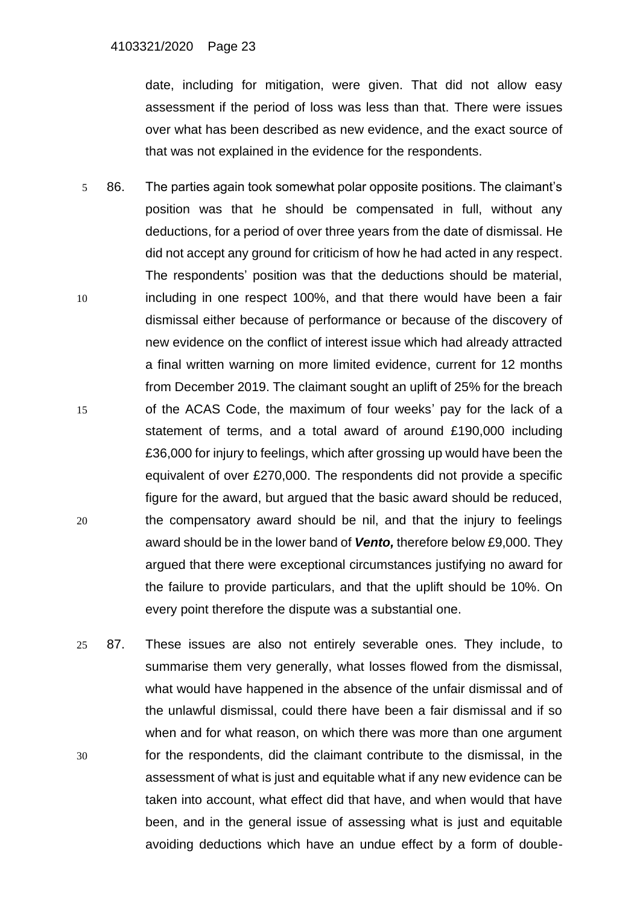date, including for mitigation, were given. That did not allow easy assessment if the period of loss was less than that. There were issues over what has been described as new evidence, and the exact source of that was not explained in the evidence for the respondents.

- 5 86. The parties again took somewhat polar opposite positions. The claimant's position was that he should be compensated in full, without any deductions, for a period of over three years from the date of dismissal. He did not accept any ground for criticism of how he had acted in any respect. The respondents' position was that the deductions should be material, 10 including in one respect 100%, and that there would have been a fair dismissal either because of performance or because of the discovery of new evidence on the conflict of interest issue which had already attracted a final written warning on more limited evidence, current for 12 months from December 2019. The claimant sought an uplift of 25% for the breach 15 of the ACAS Code, the maximum of four weeks' pay for the lack of a statement of terms, and a total award of around £190,000 including £36,000 for injury to feelings, which after grossing up would have been the equivalent of over £270,000. The respondents did not provide a specific figure for the award, but argued that the basic award should be reduced, 20 the compensatory award should be nil, and that the injury to feelings award should be in the lower band of *Vento,* therefore below £9,000. They argued that there were exceptional circumstances justifying no award for the failure to provide particulars, and that the uplift should be 10%. On every point therefore the dispute was a substantial one.
- 25 87. These issues are also not entirely severable ones. They include, to summarise them very generally, what losses flowed from the dismissal, what would have happened in the absence of the unfair dismissal and of the unlawful dismissal, could there have been a fair dismissal and if so when and for what reason, on which there was more than one argument 30 for the respondents, did the claimant contribute to the dismissal, in the assessment of what is just and equitable what if any new evidence can be taken into account, what effect did that have, and when would that have been, and in the general issue of assessing what is just and equitable avoiding deductions which have an undue effect by a form of double-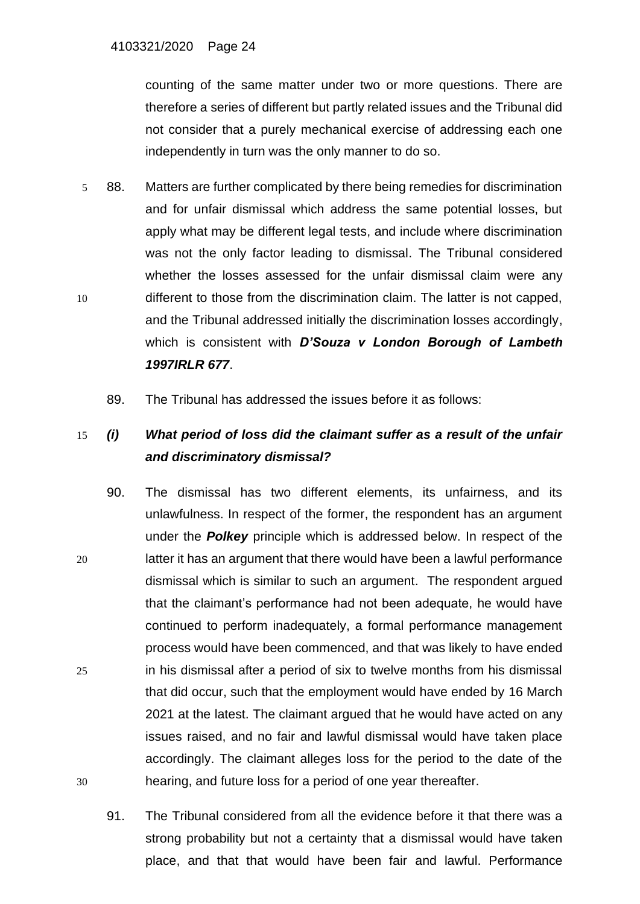counting of the same matter under two or more questions. There are therefore a series of different but partly related issues and the Tribunal did not consider that a purely mechanical exercise of addressing each one independently in turn was the only manner to do so.

- 5 88. Matters are further complicated by there being remedies for discrimination and for unfair dismissal which address the same potential losses, but apply what may be different legal tests, and include where discrimination was not the only factor leading to dismissal. The Tribunal considered whether the losses assessed for the unfair dismissal claim were any 10 different to those from the discrimination claim. The latter is not capped, and the Tribunal addressed initially the discrimination losses accordingly, which is consistent with *D'Souza v London Borough of Lambeth 1997IRLR 677*.
	- 89. The Tribunal has addressed the issues before it as follows:

# 15 *(i) What period of loss did the claimant suffer as a result of the unfair and discriminatory dismissal?*

- 90. The dismissal has two different elements, its unfairness, and its unlawfulness. In respect of the former, the respondent has an argument under the *Polkey* principle which is addressed below. In respect of the 20 latter it has an argument that there would have been a lawful performance dismissal which is similar to such an argument. The respondent argued that the claimant's performance had not been adequate, he would have continued to perform inadequately, a formal performance management process would have been commenced, and that was likely to have ended 25 in his dismissal after a period of six to twelve months from his dismissal that did occur, such that the employment would have ended by 16 March 2021 at the latest. The claimant argued that he would have acted on any issues raised, and no fair and lawful dismissal would have taken place accordingly. The claimant alleges loss for the period to the date of the 30 hearing, and future loss for a period of one year thereafter.
	- 91. The Tribunal considered from all the evidence before it that there was a strong probability but not a certainty that a dismissal would have taken place, and that that would have been fair and lawful. Performance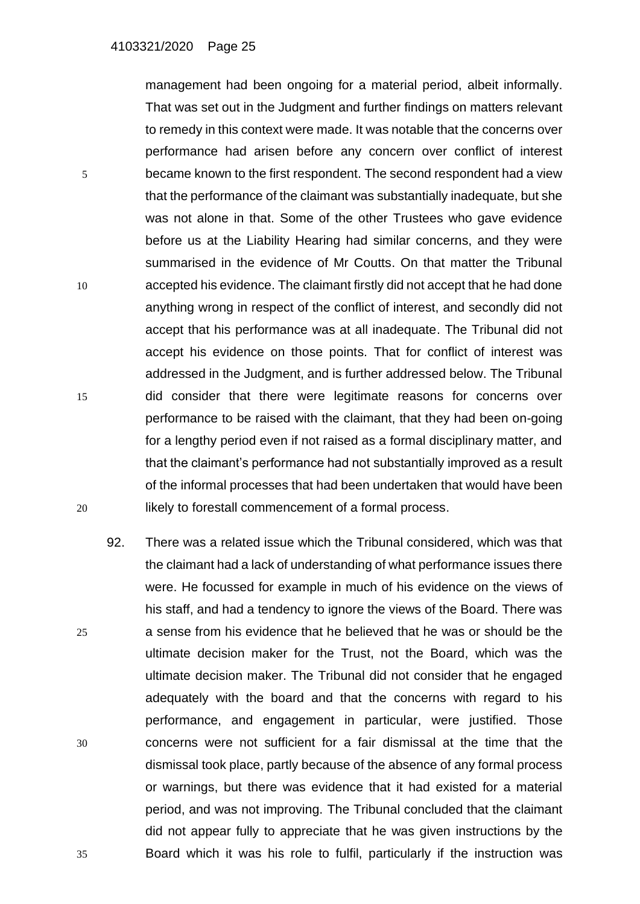management had been ongoing for a material period, albeit informally. That was set out in the Judgment and further findings on matters relevant to remedy in this context were made. It was notable that the concerns over performance had arisen before any concern over conflict of interest 5 became known to the first respondent. The second respondent had a view that the performance of the claimant was substantially inadequate, but she was not alone in that. Some of the other Trustees who gave evidence before us at the Liability Hearing had similar concerns, and they were summarised in the evidence of Mr Coutts. On that matter the Tribunal 10 accepted his evidence. The claimant firstly did not accept that he had done anything wrong in respect of the conflict of interest, and secondly did not accept that his performance was at all inadequate. The Tribunal did not accept his evidence on those points. That for conflict of interest was addressed in the Judgment, and is further addressed below. The Tribunal 15 did consider that there were legitimate reasons for concerns over performance to be raised with the claimant, that they had been on-going for a lengthy period even if not raised as a formal disciplinary matter, and that the claimant's performance had not substantially improved as a result of the informal processes that had been undertaken that would have been 20 **likely to forestall commencement of a formal process.** 

92. There was a related issue which the Tribunal considered, which was that the claimant had a lack of understanding of what performance issues there were. He focussed for example in much of his evidence on the views of his staff, and had a tendency to ignore the views of the Board. There was 25 a sense from his evidence that he believed that he was or should be the ultimate decision maker for the Trust, not the Board, which was the ultimate decision maker. The Tribunal did not consider that he engaged adequately with the board and that the concerns with regard to his performance, and engagement in particular, were justified. Those 30 concerns were not sufficient for a fair dismissal at the time that the dismissal took place, partly because of the absence of any formal process or warnings, but there was evidence that it had existed for a material period, and was not improving. The Tribunal concluded that the claimant did not appear fully to appreciate that he was given instructions by the 35 Board which it was his role to fulfil, particularly if the instruction was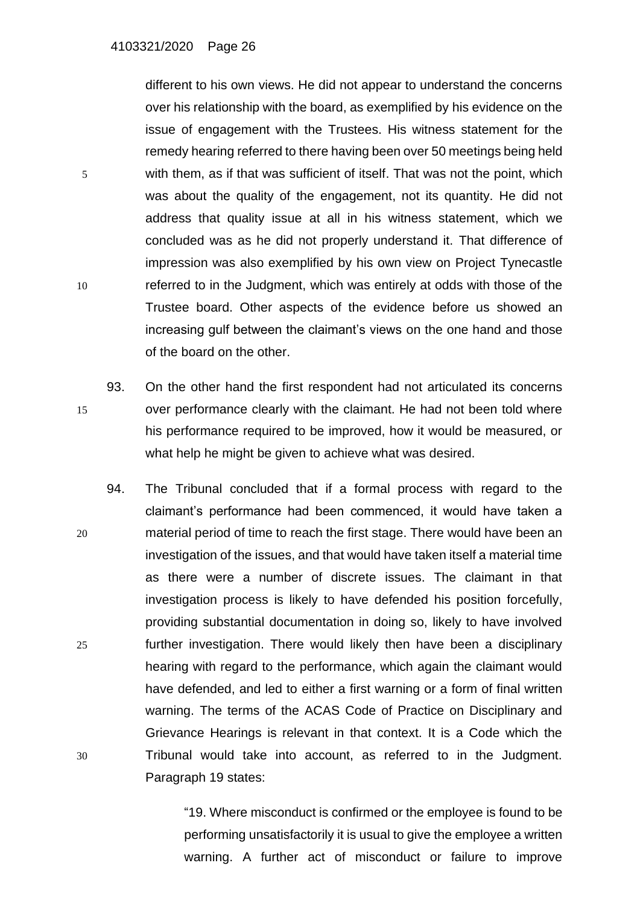different to his own views. He did not appear to understand the concerns over his relationship with the board, as exemplified by his evidence on the issue of engagement with the Trustees. His witness statement for the remedy hearing referred to there having been over 50 meetings being held 5 with them, as if that was sufficient of itself. That was not the point, which was about the quality of the engagement, not its quantity. He did not address that quality issue at all in his witness statement, which we concluded was as he did not properly understand it. That difference of impression was also exemplified by his own view on Project Tynecastle 10 referred to in the Judgment, which was entirely at odds with those of the Trustee board. Other aspects of the evidence before us showed an increasing gulf between the claimant's views on the one hand and those of the board on the other.

- 93. On the other hand the first respondent had not articulated its concerns 15 over performance clearly with the claimant. He had not been told where his performance required to be improved, how it would be measured, or what help he might be given to achieve what was desired.
- 94. The Tribunal concluded that if a formal process with regard to the claimant's performance had been commenced, it would have taken a 20 material period of time to reach the first stage. There would have been an investigation of the issues, and that would have taken itself a material time as there were a number of discrete issues. The claimant in that investigation process is likely to have defended his position forcefully, providing substantial documentation in doing so, likely to have involved 25 further investigation. There would likely then have been a disciplinary hearing with regard to the performance, which again the claimant would have defended, and led to either a first warning or a form of final written warning. The terms of the ACAS Code of Practice on Disciplinary and Grievance Hearings is relevant in that context. It is a Code which the 30 Tribunal would take into account, as referred to in the Judgment. Paragraph 19 states:

"19. Where misconduct is confirmed or the employee is found to be performing unsatisfactorily it is usual to give the employee a written warning. A further act of misconduct or failure to improve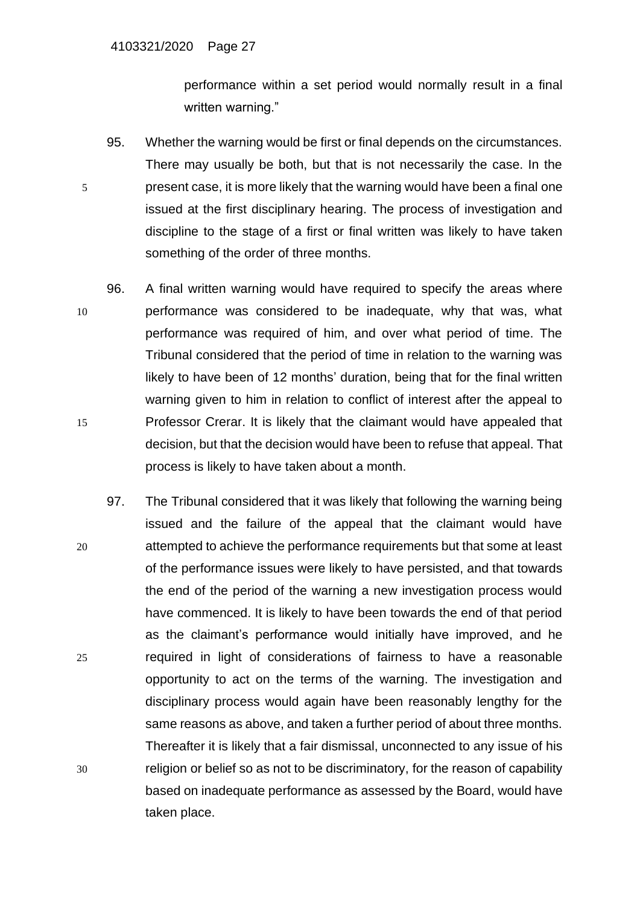performance within a set period would normally result in a final written warning."

- 95. Whether the warning would be first or final depends on the circumstances. There may usually be both, but that is not necessarily the case. In the 5 present case, it is more likely that the warning would have been a final one issued at the first disciplinary hearing. The process of investigation and discipline to the stage of a first or final written was likely to have taken something of the order of three months.
- 96. A final written warning would have required to specify the areas where 10 performance was considered to be inadequate, why that was, what performance was required of him, and over what period of time. The Tribunal considered that the period of time in relation to the warning was likely to have been of 12 months' duration, being that for the final written warning given to him in relation to conflict of interest after the appeal to 15 Professor Crerar. It is likely that the claimant would have appealed that decision, but that the decision would have been to refuse that appeal. That process is likely to have taken about a month.
- 97. The Tribunal considered that it was likely that following the warning being issued and the failure of the appeal that the claimant would have 20 attempted to achieve the performance requirements but that some at least of the performance issues were likely to have persisted, and that towards the end of the period of the warning a new investigation process would have commenced. It is likely to have been towards the end of that period as the claimant's performance would initially have improved, and he 25 required in light of considerations of fairness to have a reasonable opportunity to act on the terms of the warning. The investigation and disciplinary process would again have been reasonably lengthy for the same reasons as above, and taken a further period of about three months. Thereafter it is likely that a fair dismissal, unconnected to any issue of his 30 religion or belief so as not to be discriminatory, for the reason of capability based on inadequate performance as assessed by the Board, would have taken place.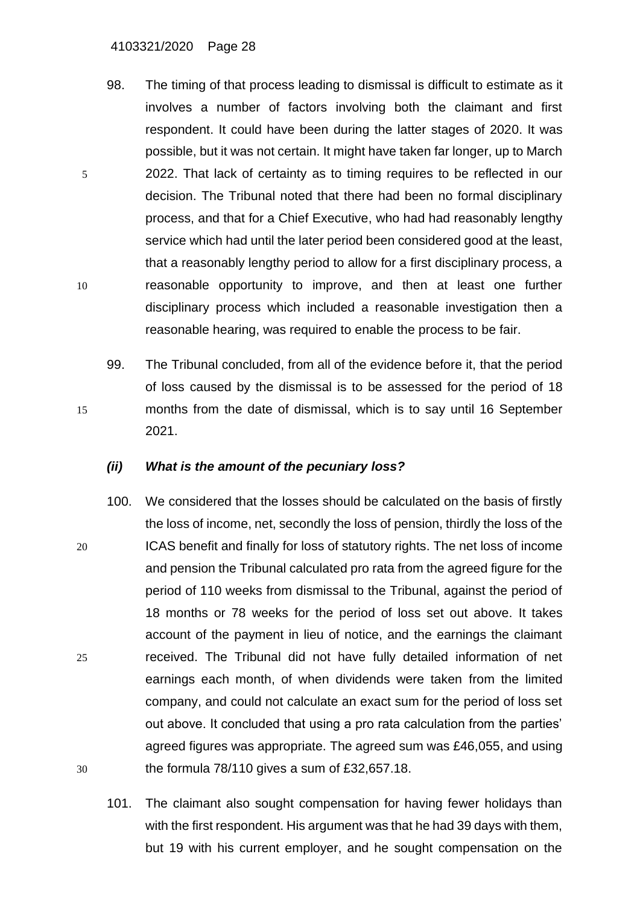#### 4103321/2020 Page 28

- 98. The timing of that process leading to dismissal is difficult to estimate as it involves a number of factors involving both the claimant and first respondent. It could have been during the latter stages of 2020. It was possible, but it was not certain. It might have taken far longer, up to March 5 2022. That lack of certainty as to timing requires to be reflected in our decision. The Tribunal noted that there had been no formal disciplinary process, and that for a Chief Executive, who had had reasonably lengthy service which had until the later period been considered good at the least, that a reasonably lengthy period to allow for a first disciplinary process, a 10 reasonable opportunity to improve, and then at least one further disciplinary process which included a reasonable investigation then a reasonable hearing, was required to enable the process to be fair.
- 99. The Tribunal concluded, from all of the evidence before it, that the period of loss caused by the dismissal is to be assessed for the period of 18 15 months from the date of dismissal, which is to say until 16 September 2021.

#### *(ii) What is the amount of the pecuniary loss?*

- 100. We considered that the losses should be calculated on the basis of firstly the loss of income, net, secondly the loss of pension, thirdly the loss of the 20 ICAS benefit and finally for loss of statutory rights. The net loss of income and pension the Tribunal calculated pro rata from the agreed figure for the period of 110 weeks from dismissal to the Tribunal, against the period of 18 months or 78 weeks for the period of loss set out above. It takes account of the payment in lieu of notice, and the earnings the claimant 25 received. The Tribunal did not have fully detailed information of net earnings each month, of when dividends were taken from the limited company, and could not calculate an exact sum for the period of loss set out above. It concluded that using a pro rata calculation from the parties' agreed figures was appropriate. The agreed sum was £46,055, and using 30 the formula 78/110 gives a sum of £32,657.18.
	- 101. The claimant also sought compensation for having fewer holidays than with the first respondent. His argument was that he had 39 days with them, but 19 with his current employer, and he sought compensation on the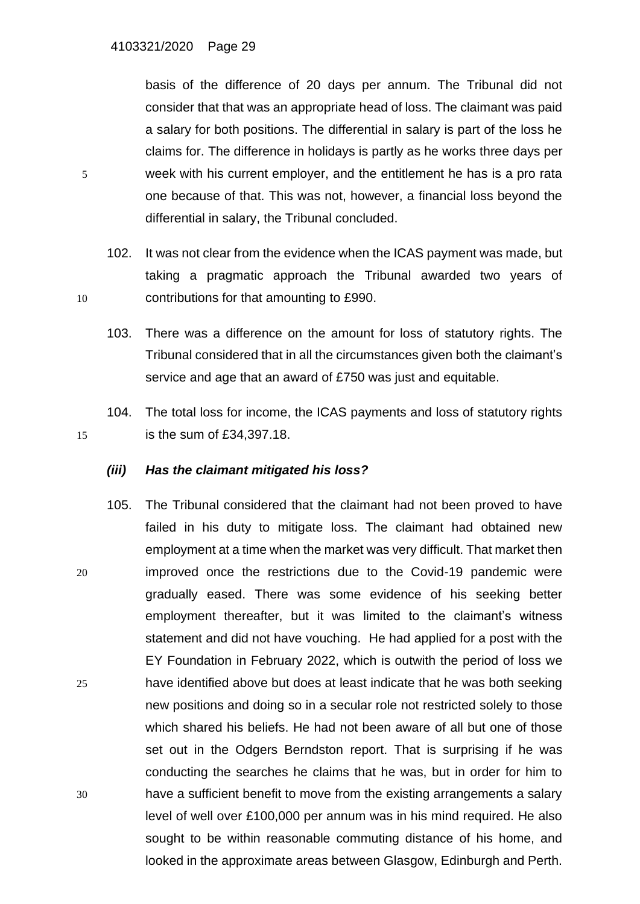basis of the difference of 20 days per annum. The Tribunal did not consider that that was an appropriate head of loss. The claimant was paid a salary for both positions. The differential in salary is part of the loss he claims for. The difference in holidays is partly as he works three days per 5 week with his current employer, and the entitlement he has is a pro rata one because of that. This was not, however, a financial loss beyond the differential in salary, the Tribunal concluded.

- 102. It was not clear from the evidence when the ICAS payment was made, but taking a pragmatic approach the Tribunal awarded two years of 10 contributions for that amounting to £990.
	- 103. There was a difference on the amount for loss of statutory rights. The Tribunal considered that in all the circumstances given both the claimant's service and age that an award of £750 was just and equitable.
- 104. The total loss for income, the ICAS payments and loss of statutory rights 15 is the sum of £34,397.18.

### *(iii) Has the claimant mitigated his loss?*

105. The Tribunal considered that the claimant had not been proved to have failed in his duty to mitigate loss. The claimant had obtained new employment at a time when the market was very difficult. That market then 20 improved once the restrictions due to the Covid-19 pandemic were gradually eased. There was some evidence of his seeking better employment thereafter, but it was limited to the claimant's witness statement and did not have vouching. He had applied for a post with the EY Foundation in February 2022, which is outwith the period of loss we 25 have identified above but does at least indicate that he was both seeking new positions and doing so in a secular role not restricted solely to those which shared his beliefs. He had not been aware of all but one of those set out in the Odgers Berndston report. That is surprising if he was conducting the searches he claims that he was, but in order for him to 30 have a sufficient benefit to move from the existing arrangements a salary level of well over £100,000 per annum was in his mind required. He also sought to be within reasonable commuting distance of his home, and looked in the approximate areas between Glasgow, Edinburgh and Perth.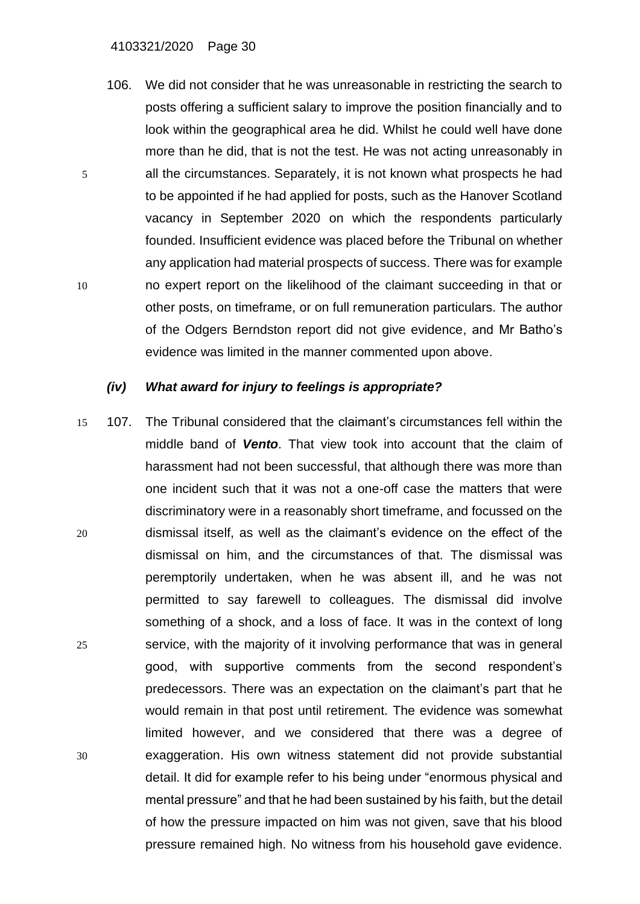106. We did not consider that he was unreasonable in restricting the search to posts offering a sufficient salary to improve the position financially and to look within the geographical area he did. Whilst he could well have done more than he did, that is not the test. He was not acting unreasonably in 5 all the circumstances. Separately, it is not known what prospects he had to be appointed if he had applied for posts, such as the Hanover Scotland vacancy in September 2020 on which the respondents particularly founded. Insufficient evidence was placed before the Tribunal on whether any application had material prospects of success. There was for example 10 no expert report on the likelihood of the claimant succeeding in that or other posts, on timeframe, or on full remuneration particulars. The author of the Odgers Berndston report did not give evidence, and Mr Batho's evidence was limited in the manner commented upon above.

### *(iv) What award for injury to feelings is appropriate?*

15 107. The Tribunal considered that the claimant's circumstances fell within the middle band of *Vento*. That view took into account that the claim of harassment had not been successful, that although there was more than one incident such that it was not a one-off case the matters that were discriminatory were in a reasonably short timeframe, and focussed on the 20 dismissal itself, as well as the claimant's evidence on the effect of the dismissal on him, and the circumstances of that. The dismissal was peremptorily undertaken, when he was absent ill, and he was not permitted to say farewell to colleagues. The dismissal did involve something of a shock, and a loss of face. It was in the context of long 25 service, with the majority of it involving performance that was in general good, with supportive comments from the second respondent's predecessors. There was an expectation on the claimant's part that he would remain in that post until retirement. The evidence was somewhat limited however, and we considered that there was a degree of 30 exaggeration. His own witness statement did not provide substantial detail. It did for example refer to his being under "enormous physical and mental pressure" and that he had been sustained by his faith, but the detail of how the pressure impacted on him was not given, save that his blood pressure remained high. No witness from his household gave evidence.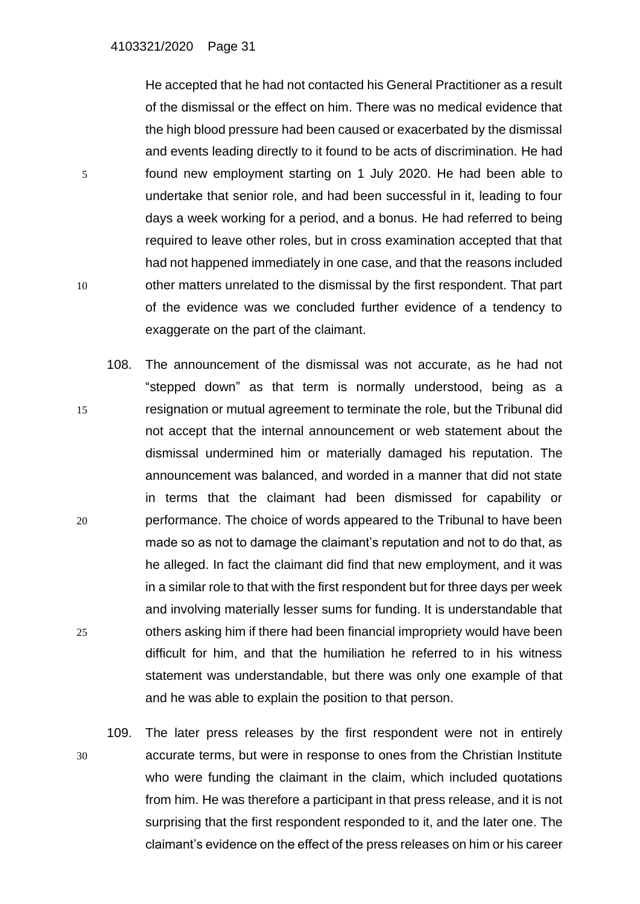He accepted that he had not contacted his General Practitioner as a result of the dismissal or the effect on him. There was no medical evidence that the high blood pressure had been caused or exacerbated by the dismissal and events leading directly to it found to be acts of discrimination. He had 5 found new employment starting on 1 July 2020. He had been able to undertake that senior role, and had been successful in it, leading to four days a week working for a period, and a bonus. He had referred to being required to leave other roles, but in cross examination accepted that that had not happened immediately in one case, and that the reasons included 10 other matters unrelated to the dismissal by the first respondent. That part of the evidence was we concluded further evidence of a tendency to exaggerate on the part of the claimant.

- 108. The announcement of the dismissal was not accurate, as he had not "stepped down" as that term is normally understood, being as a 15 resignation or mutual agreement to terminate the role, but the Tribunal did not accept that the internal announcement or web statement about the dismissal undermined him or materially damaged his reputation. The announcement was balanced, and worded in a manner that did not state in terms that the claimant had been dismissed for capability or 20 performance. The choice of words appeared to the Tribunal to have been made so as not to damage the claimant's reputation and not to do that, as he alleged. In fact the claimant did find that new employment, and it was in a similar role to that with the first respondent but for three days per week and involving materially lesser sums for funding. It is understandable that 25 others asking him if there had been financial impropriety would have been difficult for him, and that the humiliation he referred to in his witness statement was understandable, but there was only one example of that and he was able to explain the position to that person.
- 109. The later press releases by the first respondent were not in entirely 30 accurate terms, but were in response to ones from the Christian Institute who were funding the claimant in the claim, which included quotations from him. He was therefore a participant in that press release, and it is not surprising that the first respondent responded to it, and the later one. The claimant's evidence on the effect of the press releases on him or his career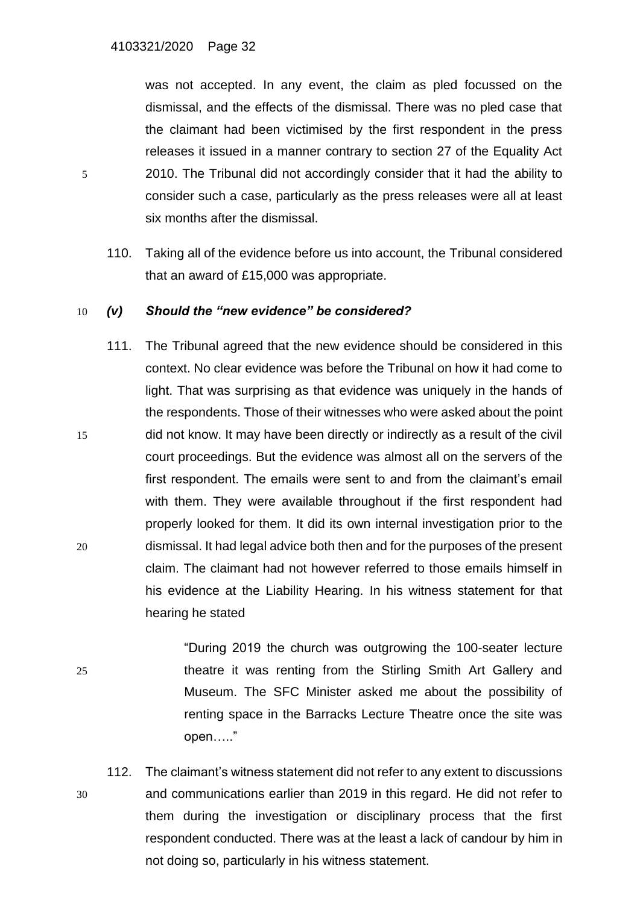was not accepted. In any event, the claim as pled focussed on the dismissal, and the effects of the dismissal. There was no pled case that the claimant had been victimised by the first respondent in the press releases it issued in a manner contrary to section 27 of the Equality Act 5 2010. The Tribunal did not accordingly consider that it had the ability to consider such a case, particularly as the press releases were all at least six months after the dismissal.

110. Taking all of the evidence before us into account, the Tribunal considered that an award of £15,000 was appropriate.

### 10 *(v) Should the "new evidence" be considered?*

- 111. The Tribunal agreed that the new evidence should be considered in this context. No clear evidence was before the Tribunal on how it had come to light. That was surprising as that evidence was uniquely in the hands of the respondents. Those of their witnesses who were asked about the point 15 did not know. It may have been directly or indirectly as a result of the civil court proceedings. But the evidence was almost all on the servers of the first respondent. The emails were sent to and from the claimant's email with them. They were available throughout if the first respondent had properly looked for them. It did its own internal investigation prior to the 20 dismissal. It had legal advice both then and for the purposes of the present claim. The claimant had not however referred to those emails himself in his evidence at the Liability Hearing. In his witness statement for that hearing he stated
- "During 2019 the church was outgrowing the 100-seater lecture 25 theatre it was renting from the Stirling Smith Art Gallery and Museum. The SFC Minister asked me about the possibility of renting space in the Barracks Lecture Theatre once the site was open….."
- 112. The claimant's witness statement did not refer to any extent to discussions 30 and communications earlier than 2019 in this regard. He did not refer to them during the investigation or disciplinary process that the first respondent conducted. There was at the least a lack of candour by him in not doing so, particularly in his witness statement.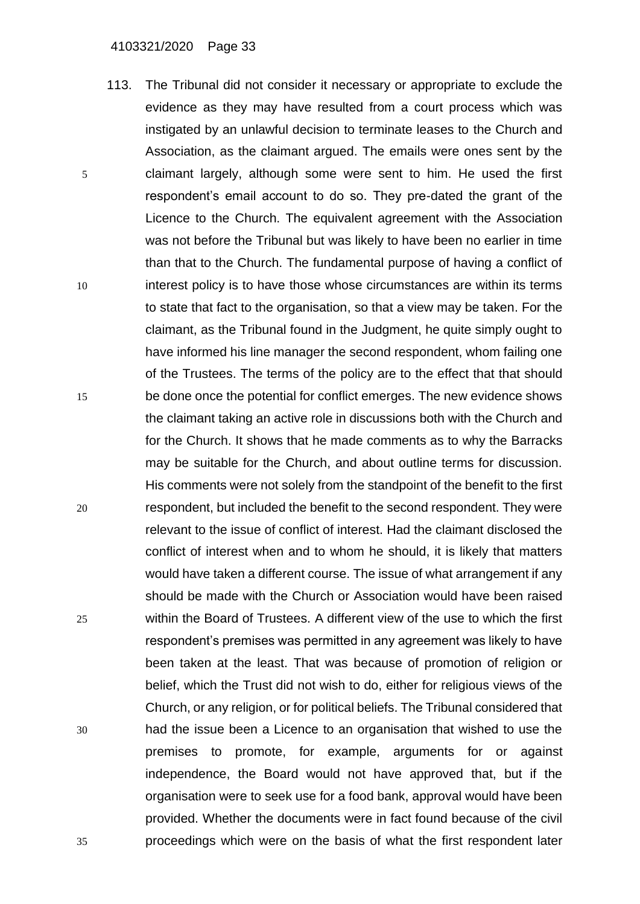#### 4103321/2020 Page 33

113. The Tribunal did not consider it necessary or appropriate to exclude the evidence as they may have resulted from a court process which was instigated by an unlawful decision to terminate leases to the Church and Association, as the claimant argued. The emails were ones sent by the 5 claimant largely, although some were sent to him. He used the first respondent's email account to do so. They pre-dated the grant of the Licence to the Church. The equivalent agreement with the Association was not before the Tribunal but was likely to have been no earlier in time than that to the Church. The fundamental purpose of having a conflict of 10 interest policy is to have those whose circumstances are within its terms to state that fact to the organisation, so that a view may be taken. For the claimant, as the Tribunal found in the Judgment, he quite simply ought to have informed his line manager the second respondent, whom failing one of the Trustees. The terms of the policy are to the effect that that should 15 be done once the potential for conflict emerges. The new evidence shows the claimant taking an active role in discussions both with the Church and for the Church. It shows that he made comments as to why the Barracks may be suitable for the Church, and about outline terms for discussion. His comments were not solely from the standpoint of the benefit to the first 20 respondent, but included the benefit to the second respondent. They were relevant to the issue of conflict of interest. Had the claimant disclosed the conflict of interest when and to whom he should, it is likely that matters would have taken a different course. The issue of what arrangement if any should be made with the Church or Association would have been raised 25 within the Board of Trustees. A different view of the use to which the first respondent's premises was permitted in any agreement was likely to have been taken at the least. That was because of promotion of religion or belief, which the Trust did not wish to do, either for religious views of the Church, or any religion, or for political beliefs. The Tribunal considered that 30 had the issue been a Licence to an organisation that wished to use the premises to promote, for example, arguments for or against independence, the Board would not have approved that, but if the organisation were to seek use for a food bank, approval would have been provided. Whether the documents were in fact found because of the civil 35 proceedings which were on the basis of what the first respondent later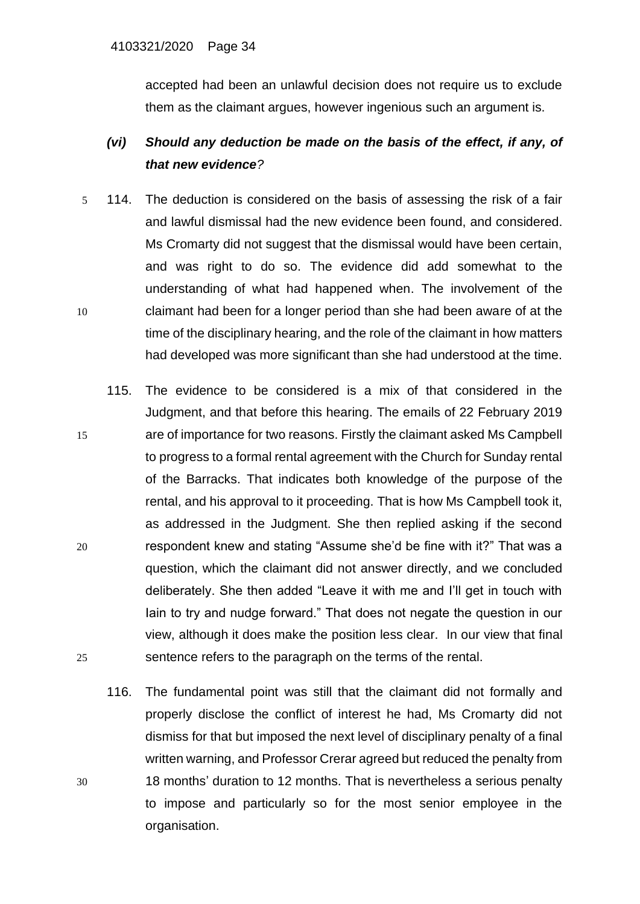accepted had been an unlawful decision does not require us to exclude them as the claimant argues, however ingenious such an argument is.

# *(vi) Should any deduction be made on the basis of the effect, if any, of that new evidence?*

- 5 114. The deduction is considered on the basis of assessing the risk of a fair and lawful dismissal had the new evidence been found, and considered. Ms Cromarty did not suggest that the dismissal would have been certain, and was right to do so. The evidence did add somewhat to the understanding of what had happened when. The involvement of the 10 claimant had been for a longer period than she had been aware of at the time of the disciplinary hearing, and the role of the claimant in how matters had developed was more significant than she had understood at the time.
- 115. The evidence to be considered is a mix of that considered in the Judgment, and that before this hearing. The emails of 22 February 2019 15 are of importance for two reasons. Firstly the claimant asked Ms Campbell to progress to a formal rental agreement with the Church for Sunday rental of the Barracks. That indicates both knowledge of the purpose of the rental, and his approval to it proceeding. That is how Ms Campbell took it, as addressed in the Judgment. She then replied asking if the second 20 respondent knew and stating "Assume she'd be fine with it?" That was a question, which the claimant did not answer directly, and we concluded deliberately. She then added "Leave it with me and I'll get in touch with Iain to try and nudge forward." That does not negate the question in our view, although it does make the position less clear. In our view that final 25 sentence refers to the paragraph on the terms of the rental.
- 116. The fundamental point was still that the claimant did not formally and properly disclose the conflict of interest he had, Ms Cromarty did not dismiss for that but imposed the next level of disciplinary penalty of a final written warning, and Professor Crerar agreed but reduced the penalty from 30 18 months' duration to 12 months. That is nevertheless a serious penalty to impose and particularly so for the most senior employee in the organisation.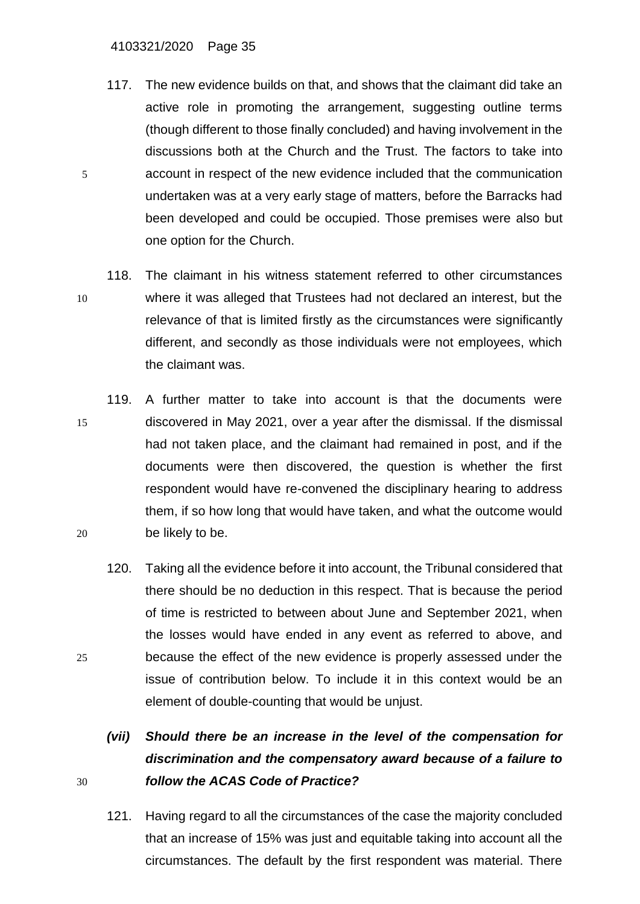#### 4103321/2020 Page 35

- 117. The new evidence builds on that, and shows that the claimant did take an active role in promoting the arrangement, suggesting outline terms (though different to those finally concluded) and having involvement in the discussions both at the Church and the Trust. The factors to take into 5 account in respect of the new evidence included that the communication undertaken was at a very early stage of matters, before the Barracks had been developed and could be occupied. Those premises were also but one option for the Church.
- 118. The claimant in his witness statement referred to other circumstances 10 where it was alleged that Trustees had not declared an interest, but the relevance of that is limited firstly as the circumstances were significantly different, and secondly as those individuals were not employees, which the claimant was.
- 119. A further matter to take into account is that the documents were 15 discovered in May 2021, over a year after the dismissal. If the dismissal had not taken place, and the claimant had remained in post, and if the documents were then discovered, the question is whether the first respondent would have re-convened the disciplinary hearing to address them, if so how long that would have taken, and what the outcome would 20 be likely to be.
- 120. Taking all the evidence before it into account, the Tribunal considered that there should be no deduction in this respect. That is because the period of time is restricted to between about June and September 2021, when the losses would have ended in any event as referred to above, and 25 because the effect of the new evidence is properly assessed under the issue of contribution below. To include it in this context would be an element of double-counting that would be unjust.
- *(vii) Should there be an increase in the level of the compensation for discrimination and the compensatory award because of a failure to*  30 *follow the ACAS Code of Practice?*
	- 121. Having regard to all the circumstances of the case the majority concluded that an increase of 15% was just and equitable taking into account all the circumstances. The default by the first respondent was material. There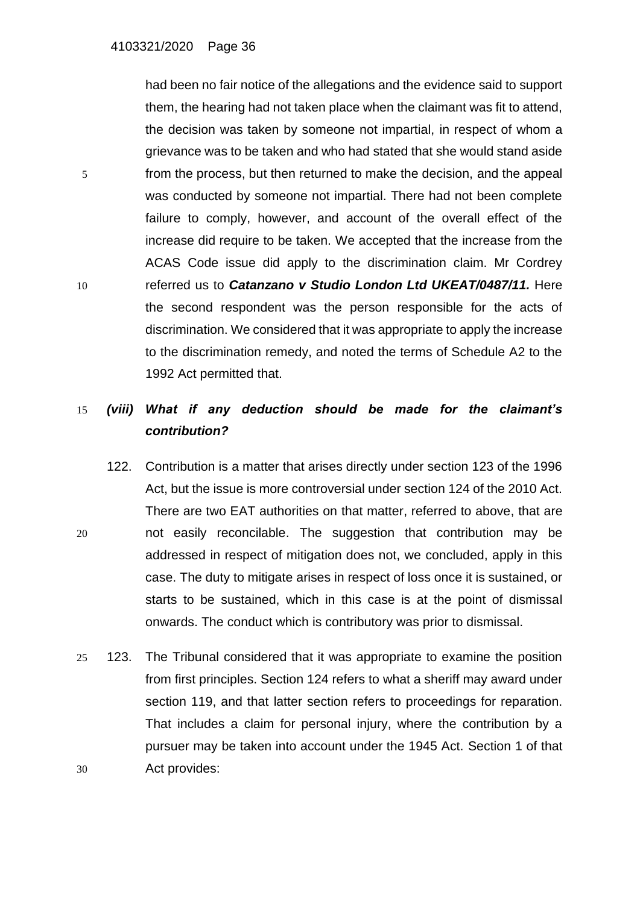had been no fair notice of the allegations and the evidence said to support them, the hearing had not taken place when the claimant was fit to attend, the decision was taken by someone not impartial, in respect of whom a grievance was to be taken and who had stated that she would stand aside 5 from the process, but then returned to make the decision, and the appeal was conducted by someone not impartial. There had not been complete failure to comply, however, and account of the overall effect of the increase did require to be taken. We accepted that the increase from the ACAS Code issue did apply to the discrimination claim. Mr Cordrey 10 referred us to *Catanzano v Studio London Ltd UKEAT/0487/11.* Here the second respondent was the person responsible for the acts of discrimination. We considered that it was appropriate to apply the increase to the discrimination remedy, and noted the terms of Schedule A2 to the 1992 Act permitted that.

# 15 *(viii) What if any deduction should be made for the claimant's contribution?*

- 122. Contribution is a matter that arises directly under section 123 of the 1996 Act, but the issue is more controversial under section 124 of the 2010 Act. There are two EAT authorities on that matter, referred to above, that are 20 not easily reconcilable. The suggestion that contribution may be addressed in respect of mitigation does not, we concluded, apply in this case. The duty to mitigate arises in respect of loss once it is sustained, or starts to be sustained, which in this case is at the point of dismissal onwards. The conduct which is contributory was prior to dismissal.
- 25 123. The Tribunal considered that it was appropriate to examine the position from first principles. Section 124 refers to what a sheriff may award under section 119, and that latter section refers to proceedings for reparation. That includes a claim for personal injury, where the contribution by a pursuer may be taken into account under the 1945 Act. Section 1 of that 30 Act provides: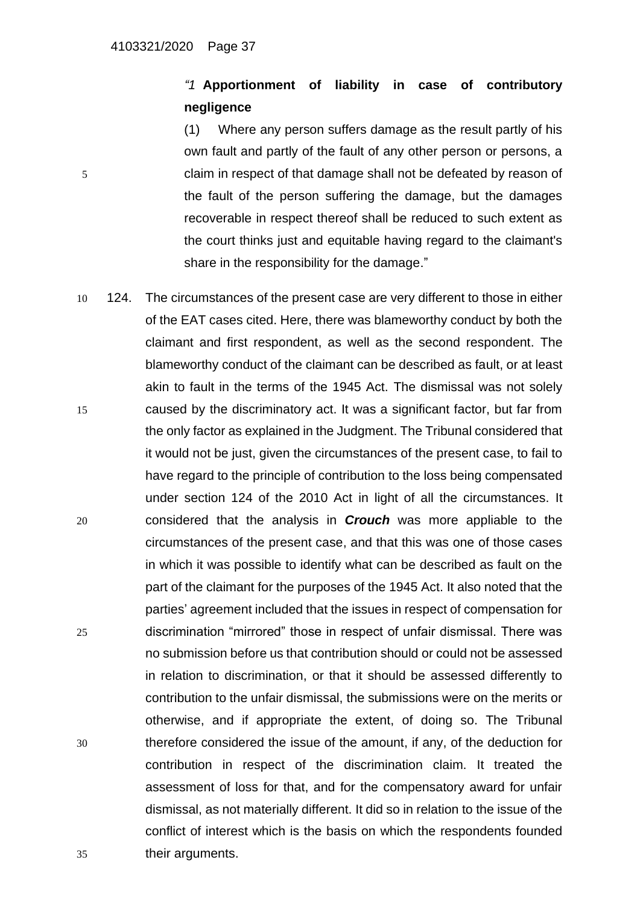# *"1* **Apportionment of liability in case of contributory negligence**

(1) Where any person suffers damage as the result partly of his own fault and partly of the fault of any other person or persons, a 5 claim in respect of that damage shall not be defeated by reason of the fault of the person suffering the damage, but the damages recoverable in respect thereof shall be reduced to such extent as the court thinks just and equitable having regard to the claimant's share in the responsibility for the damage."

10 124. The circumstances of the present case are very different to those in either of the EAT cases cited. Here, there was blameworthy conduct by both the claimant and first respondent, as well as the second respondent. The blameworthy conduct of the claimant can be described as fault, or at least akin to fault in the terms of the 1945 Act. The dismissal was not solely 15 caused by the discriminatory act. It was a significant factor, but far from the only factor as explained in the Judgment. The Tribunal considered that it would not be just, given the circumstances of the present case, to fail to have regard to the principle of contribution to the loss being compensated under section 124 of the 2010 Act in light of all the circumstances. It 20 considered that the analysis in *Crouch* was more appliable to the circumstances of the present case, and that this was one of those cases in which it was possible to identify what can be described as fault on the part of the claimant for the purposes of the 1945 Act. It also noted that the parties' agreement included that the issues in respect of compensation for 25 discrimination "mirrored" those in respect of unfair dismissal. There was no submission before us that contribution should or could not be assessed in relation to discrimination, or that it should be assessed differently to contribution to the unfair dismissal, the submissions were on the merits or otherwise, and if appropriate the extent, of doing so. The Tribunal 30 therefore considered the issue of the amount, if any, of the deduction for contribution in respect of the discrimination claim. It treated the assessment of loss for that, and for the compensatory award for unfair dismissal, as not materially different. It did so in relation to the issue of the conflict of interest which is the basis on which the respondents founded 35 their arguments.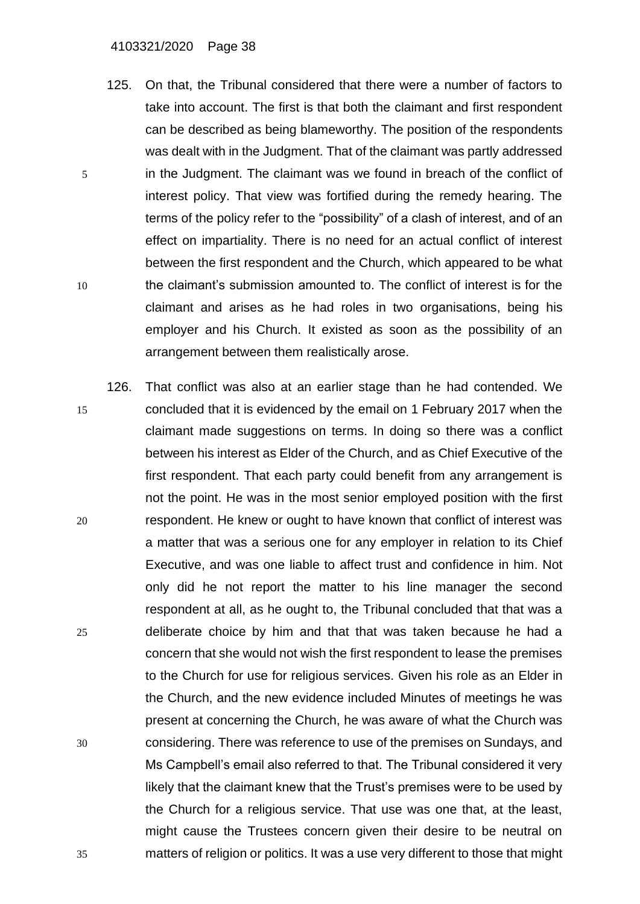#### 4103321/2020 Page 38

- 125. On that, the Tribunal considered that there were a number of factors to take into account. The first is that both the claimant and first respondent can be described as being blameworthy. The position of the respondents was dealt with in the Judgment. That of the claimant was partly addressed 5 in the Judgment. The claimant was we found in breach of the conflict of interest policy. That view was fortified during the remedy hearing. The terms of the policy refer to the "possibility" of a clash of interest, and of an effect on impartiality. There is no need for an actual conflict of interest between the first respondent and the Church, which appeared to be what 10 the claimant's submission amounted to. The conflict of interest is for the claimant and arises as he had roles in two organisations, being his employer and his Church. It existed as soon as the possibility of an arrangement between them realistically arose.
- 126. That conflict was also at an earlier stage than he had contended. We 15 concluded that it is evidenced by the email on 1 February 2017 when the claimant made suggestions on terms. In doing so there was a conflict between his interest as Elder of the Church, and as Chief Executive of the first respondent. That each party could benefit from any arrangement is not the point. He was in the most senior employed position with the first 20 respondent. He knew or ought to have known that conflict of interest was a matter that was a serious one for any employer in relation to its Chief Executive, and was one liable to affect trust and confidence in him. Not only did he not report the matter to his line manager the second respondent at all, as he ought to, the Tribunal concluded that that was a 25 deliberate choice by him and that that was taken because he had a concern that she would not wish the first respondent to lease the premises to the Church for use for religious services. Given his role as an Elder in the Church, and the new evidence included Minutes of meetings he was present at concerning the Church, he was aware of what the Church was 30 considering. There was reference to use of the premises on Sundays, and Ms Campbell's email also referred to that. The Tribunal considered it very likely that the claimant knew that the Trust's premises were to be used by the Church for a religious service. That use was one that, at the least, might cause the Trustees concern given their desire to be neutral on 35 matters of religion or politics. It was a use very different to those that might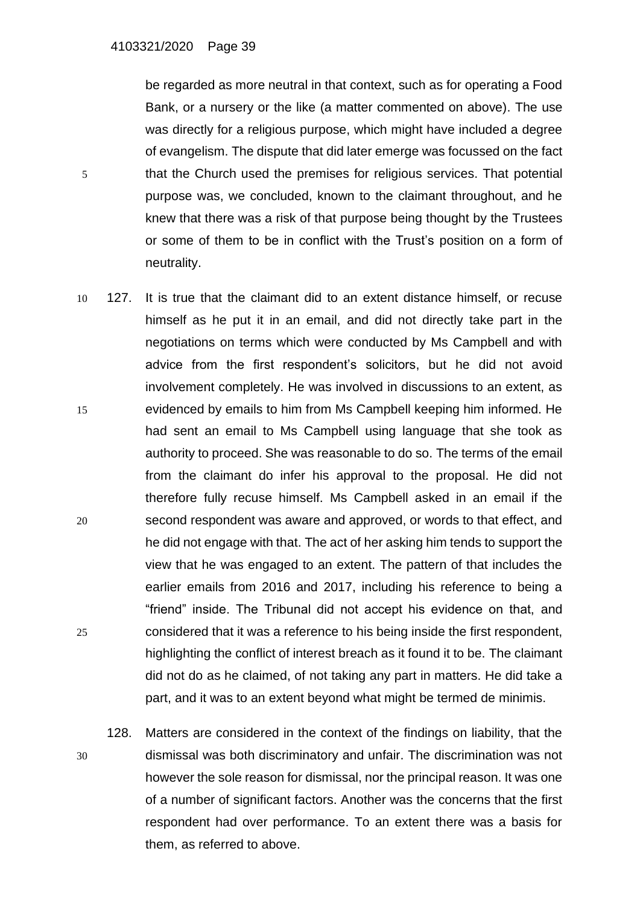be regarded as more neutral in that context, such as for operating a Food Bank, or a nursery or the like (a matter commented on above). The use was directly for a religious purpose, which might have included a degree of evangelism. The dispute that did later emerge was focussed on the fact 5 that the Church used the premises for religious services. That potential purpose was, we concluded, known to the claimant throughout, and he knew that there was a risk of that purpose being thought by the Trustees or some of them to be in conflict with the Trust's position on a form of neutrality.

- 10 127. It is true that the claimant did to an extent distance himself, or recuse himself as he put it in an email, and did not directly take part in the negotiations on terms which were conducted by Ms Campbell and with advice from the first respondent's solicitors, but he did not avoid involvement completely. He was involved in discussions to an extent, as 15 evidenced by emails to him from Ms Campbell keeping him informed. He had sent an email to Ms Campbell using language that she took as authority to proceed. She was reasonable to do so. The terms of the email from the claimant do infer his approval to the proposal. He did not therefore fully recuse himself. Ms Campbell asked in an email if the 20 second respondent was aware and approved, or words to that effect, and he did not engage with that. The act of her asking him tends to support the view that he was engaged to an extent. The pattern of that includes the earlier emails from 2016 and 2017, including his reference to being a "friend" inside. The Tribunal did not accept his evidence on that, and 25 considered that it was a reference to his being inside the first respondent, highlighting the conflict of interest breach as it found it to be. The claimant did not do as he claimed, of not taking any part in matters. He did take a part, and it was to an extent beyond what might be termed de minimis.
- 128. Matters are considered in the context of the findings on liability, that the 30 dismissal was both discriminatory and unfair. The discrimination was not however the sole reason for dismissal, nor the principal reason. It was one of a number of significant factors. Another was the concerns that the first respondent had over performance. To an extent there was a basis for them, as referred to above.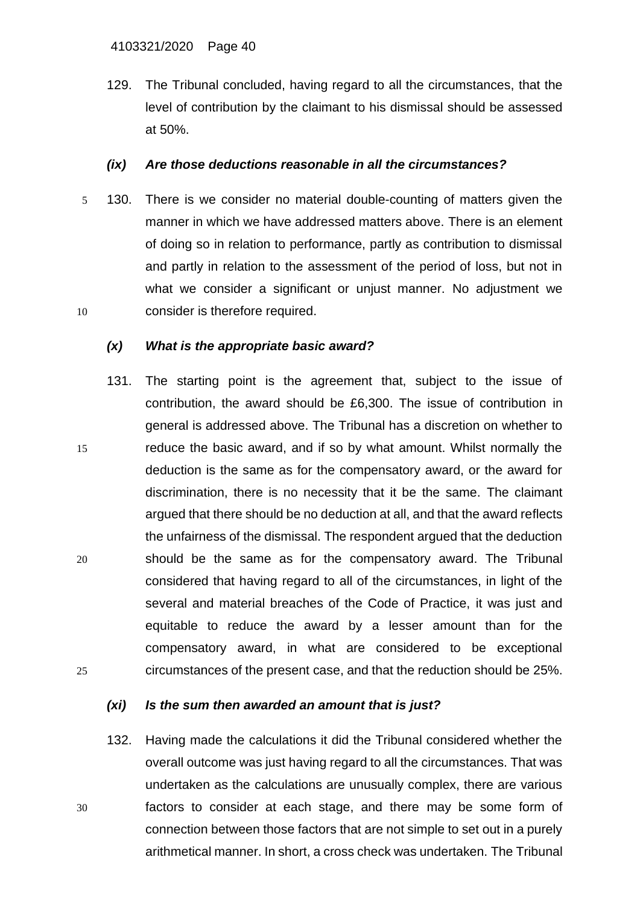129. The Tribunal concluded, having regard to all the circumstances, that the level of contribution by the claimant to his dismissal should be assessed at 50%.

## *(ix) Are those deductions reasonable in all the circumstances?*

5 130. There is we consider no material double-counting of matters given the manner in which we have addressed matters above. There is an element of doing so in relation to performance, partly as contribution to dismissal and partly in relation to the assessment of the period of loss, but not in what we consider a significant or unjust manner. No adjustment we 10 consider is therefore required.

# *(x) What is the appropriate basic award?*

131. The starting point is the agreement that, subject to the issue of contribution, the award should be £6,300. The issue of contribution in general is addressed above. The Tribunal has a discretion on whether to 15 reduce the basic award, and if so by what amount. Whilst normally the deduction is the same as for the compensatory award, or the award for discrimination, there is no necessity that it be the same. The claimant argued that there should be no deduction at all, and that the award reflects the unfairness of the dismissal. The respondent argued that the deduction 20 should be the same as for the compensatory award. The Tribunal considered that having regard to all of the circumstances, in light of the several and material breaches of the Code of Practice, it was just and equitable to reduce the award by a lesser amount than for the compensatory award, in what are considered to be exceptional 25 circumstances of the present case, and that the reduction should be 25%.

### *(xi) Is the sum then awarded an amount that is just?*

132. Having made the calculations it did the Tribunal considered whether the overall outcome was just having regard to all the circumstances. That was undertaken as the calculations are unusually complex, there are various 30 factors to consider at each stage, and there may be some form of connection between those factors that are not simple to set out in a purely arithmetical manner. In short, a cross check was undertaken. The Tribunal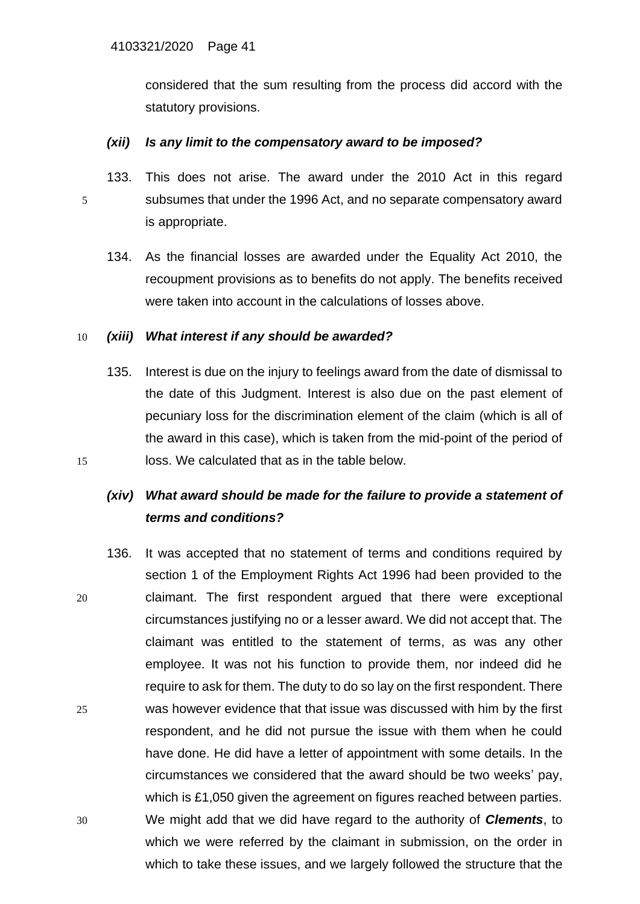considered that the sum resulting from the process did accord with the statutory provisions.

## *(xii) Is any limit to the compensatory award to be imposed?*

- 133. This does not arise. The award under the 2010 Act in this regard 5 subsumes that under the 1996 Act, and no separate compensatory award is appropriate.
	- 134. As the financial losses are awarded under the Equality Act 2010, the recoupment provisions as to benefits do not apply. The benefits received were taken into account in the calculations of losses above.

## 10 *(xiii) What interest if any should be awarded?*

135. Interest is due on the injury to feelings award from the date of dismissal to the date of this Judgment. Interest is also due on the past element of pecuniary loss for the discrimination element of the claim (which is all of the award in this case), which is taken from the mid-point of the period of 15 loss. We calculated that as in the table below.

# *(xiv) What award should be made for the failure to provide a statement of terms and conditions?*

136. It was accepted that no statement of terms and conditions required by section 1 of the Employment Rights Act 1996 had been provided to the 20 claimant. The first respondent argued that there were exceptional circumstances justifying no or a lesser award. We did not accept that. The claimant was entitled to the statement of terms, as was any other employee. It was not his function to provide them, nor indeed did he require to ask for them. The duty to do so lay on the first respondent. There 25 was however evidence that that issue was discussed with him by the first respondent, and he did not pursue the issue with them when he could have done. He did have a letter of appointment with some details. In the circumstances we considered that the award should be two weeks' pay, which is £1,050 given the agreement on figures reached between parties. 30 We might add that we did have regard to the authority of *Clements*, to which we were referred by the claimant in submission, on the order in which to take these issues, and we largely followed the structure that the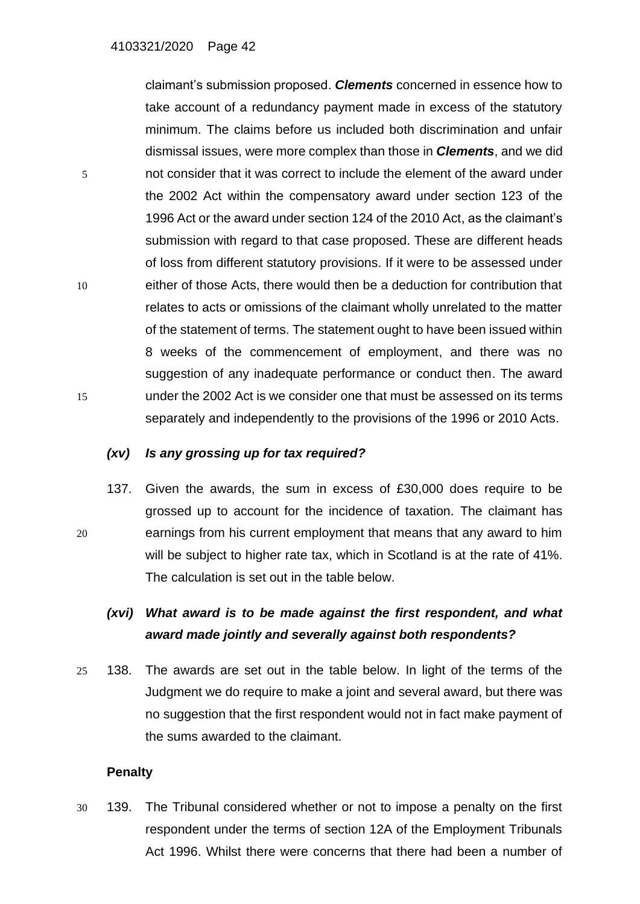claimant's submission proposed. *Clements* concerned in essence how to take account of a redundancy payment made in excess of the statutory minimum. The claims before us included both discrimination and unfair dismissal issues, were more complex than those in *Clements*, and we did 5 not consider that it was correct to include the element of the award under the 2002 Act within the compensatory award under section 123 of the 1996 Act or the award under section 124 of the 2010 Act, as the claimant's submission with regard to that case proposed. These are different heads of loss from different statutory provisions. If it were to be assessed under 10 either of those Acts, there would then be a deduction for contribution that relates to acts or omissions of the claimant wholly unrelated to the matter of the statement of terms. The statement ought to have been issued within 8 weeks of the commencement of employment, and there was no suggestion of any inadequate performance or conduct then. The award 15 under the 2002 Act is we consider one that must be assessed on its terms separately and independently to the provisions of the 1996 or 2010 Acts.

## *(xv) Is any grossing up for tax required?*

137. Given the awards, the sum in excess of £30,000 does require to be grossed up to account for the incidence of taxation. The claimant has 20 earnings from his current employment that means that any award to him will be subject to higher rate tax, which in Scotland is at the rate of 41%. The calculation is set out in the table below.

# *(xvi) What award is to be made against the first respondent, and what award made jointly and severally against both respondents?*

25 138. The awards are set out in the table below. In light of the terms of the Judgment we do require to make a joint and several award, but there was no suggestion that the first respondent would not in fact make payment of the sums awarded to the claimant.

### **Penalty**

30 139. The Tribunal considered whether or not to impose a penalty on the first respondent under the terms of section 12A of the Employment Tribunals Act 1996. Whilst there were concerns that there had been a number of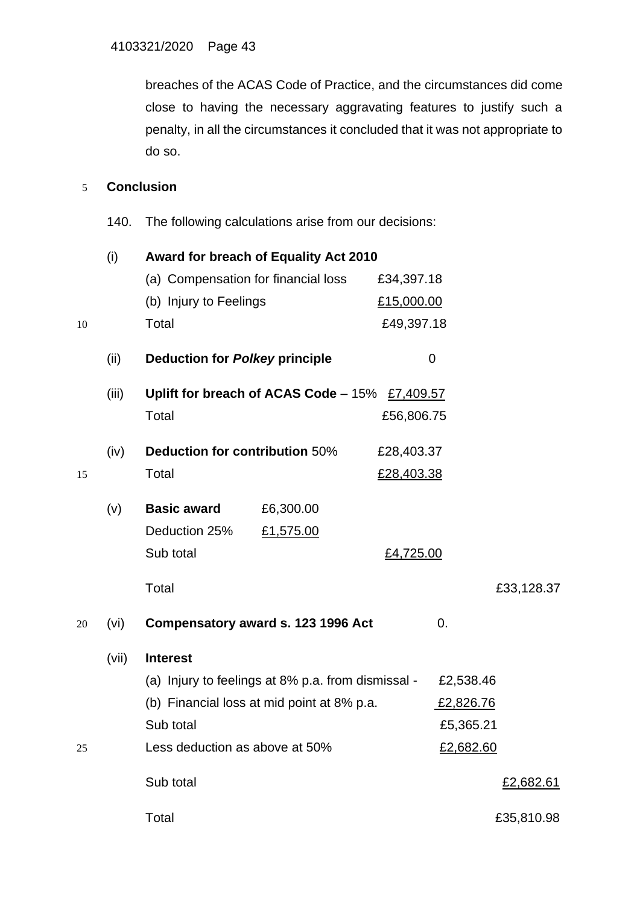breaches of the ACAS Code of Practice, and the circumstances did come close to having the necessary aggravating features to justify such a penalty, in all the circumstances it concluded that it was not appropriate to do so.

# 5 **Conclusion**

140. The following calculations arise from our decisions:

|    | (i)                                                                                              | Award for breach of Equality Act 2010 |                                      |                   |           |            |
|----|--------------------------------------------------------------------------------------------------|---------------------------------------|--------------------------------------|-------------------|-----------|------------|
|    |                                                                                                  | (a) Compensation for financial loss   |                                      | £34,397.18        |           |            |
|    |                                                                                                  | (b) Injury to Feelings                |                                      | £15,000.00        |           |            |
| 10 |                                                                                                  | Total                                 |                                      | £49,397.18        |           |            |
|    | (ii)                                                                                             | <b>Deduction for Polkey principle</b> |                                      |                   | 0         |            |
|    | (iii)                                                                                            |                                       | Uplift for breach of ACAS Code – 15% | £7,409.57         |           |            |
|    |                                                                                                  | Total                                 |                                      | £56,806.75        |           |            |
|    | (iv)                                                                                             | Deduction for contribution 50%        |                                      | £28,403.37        |           |            |
| 15 |                                                                                                  | Total                                 |                                      | <u>£28,403.38</u> |           |            |
|    | (v)                                                                                              | <b>Basic award</b>                    | £6,300.00                            |                   |           |            |
|    |                                                                                                  | Deduction 25%                         | £1,575.00                            |                   |           |            |
|    |                                                                                                  | Sub total                             |                                      | £4,725.00         |           |            |
|    |                                                                                                  | Total                                 |                                      |                   |           | £33,128.37 |
| 20 | (vi)                                                                                             |                                       | Compensatory award s. 123 1996 Act   |                   | 0.        |            |
|    | (vii)                                                                                            | <b>Interest</b>                       |                                      |                   |           |            |
|    | (a) Injury to feelings at 8% p.a. from dismissal -<br>(b) Financial loss at mid point at 8% p.a. |                                       |                                      | £2,538.46         |           |            |
|    |                                                                                                  |                                       |                                      | £2,826.76         |           |            |
|    |                                                                                                  | Sub total                             |                                      |                   | £5,365.21 |            |
| 25 |                                                                                                  | Less deduction as above at 50%        |                                      |                   | £2,682.60 |            |
|    |                                                                                                  | Sub total                             |                                      |                   |           | £2,682.61  |
|    |                                                                                                  | Total                                 |                                      |                   |           | £35,810.98 |